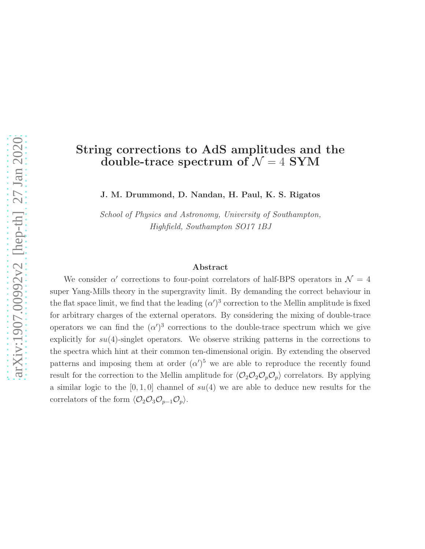# String corrections to AdS amplitudes and the double-trace spectrum of  $\mathcal{N} = 4$  SYM

J. M. Drummond, D. Nandan, H. Paul, K. S. Rigatos

School of Physics and Astronomy, University of Southampton, Highfield, Southampton SO17 1BJ

#### Abstract

We consider  $\alpha'$  corrections to four-point correlators of half-BPS operators in  $\mathcal{N} = 4$ super Yang-Mills theory in the supergravity limit. By demanding the correct behaviour in the flat space limit, we find that the leading  $(\alpha')^3$  correction to the Mellin amplitude is fixed for arbitrary charges of the external operators. By considering the mixing of double-trace operators we can find the  $(\alpha')^3$  corrections to the double-trace spectrum which we give explicitly for  $su(4)$ -singlet operators. We observe striking patterns in the corrections to the spectra which hint at their common ten-dimensional origin. By extending the observed patterns and imposing them at order  $(\alpha')^5$  we are able to reproduce the recently found result for the correction to the Mellin amplitude for  $\langle \mathcal{O}_2 \mathcal{O}_2 \mathcal{O}_p \mathcal{O}_p \rangle$  correlators. By applying a similar logic to the  $[0, 1, 0]$  channel of  $su(4)$  we are able to deduce new results for the correlators of the form  $\langle \mathcal{O}_2 \mathcal{O}_3 \mathcal{O}_{p-1} \mathcal{O}_p \rangle$ .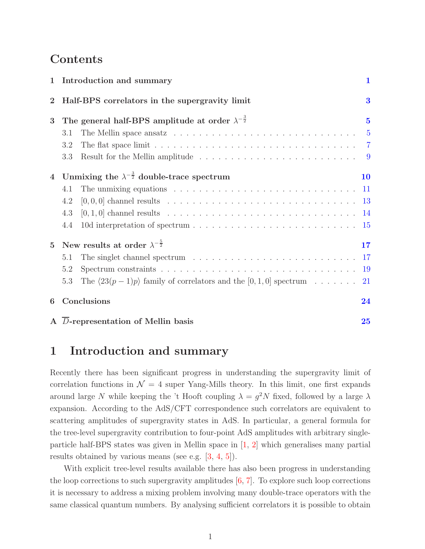# Contents

|                | 1 Introduction and summary                                                                                               | 1                       |
|----------------|--------------------------------------------------------------------------------------------------------------------------|-------------------------|
| $\mathbf 2$    | Half-BPS correlators in the supergravity limit                                                                           | $\overline{\mathbf{3}}$ |
| 3              | The general half-BPS amplitude at order $\lambda^{-\frac{3}{2}}$                                                         | $\overline{\mathbf{5}}$ |
|                | The Mellin space ansatz $\dots \dots \dots \dots \dots \dots \dots \dots \dots \dots \dots \dots$<br>3.1                 | $\overline{5}$          |
|                | The flat space limit $\ldots \ldots \ldots \ldots \ldots \ldots \ldots \ldots \ldots \ldots \ldots \ldots \ldots$<br>3.2 |                         |
|                | Result for the Mellin amplitude $\ldots \ldots \ldots \ldots \ldots \ldots \ldots \ldots \ldots$<br>3.3                  |                         |
| $\overline{4}$ | Unmixing the $\lambda^{-\frac{3}{2}}$ double-trace spectrum                                                              | 10                      |
|                | The unmixing equations $\ldots \ldots \ldots \ldots \ldots \ldots \ldots \ldots \ldots \ldots$<br>4.1                    |                         |
|                | 4.2                                                                                                                      |                         |
|                | $[0,1,0]$ channel results $\ldots \ldots \ldots \ldots \ldots \ldots \ldots \ldots \ldots \ldots \ldots 14$<br>4.3       |                         |
|                | 4.4                                                                                                                      |                         |
| $\overline{5}$ | New results at order $\lambda^{-\frac{5}{2}}$                                                                            | 17                      |
|                | The singlet channel spectrum $\ldots \ldots \ldots \ldots \ldots \ldots \ldots \ldots \ldots 17$<br>5.1                  |                         |
|                | 5.2                                                                                                                      | 19                      |
|                | The $\langle 23(p-1)p \rangle$ family of correlators and the [0, 1, 0] spectrum<br>5.3                                   | 21                      |
| 6              | Conclusions                                                                                                              | 24                      |
|                | A D-representation of Mellin basis                                                                                       | 25                      |

# <span id="page-1-0"></span>1 Introduction and summary

Recently there has been significant progress in understanding the supergravity limit of correlation functions in  $\mathcal{N} = 4$  super Yang-Mills theory. In this limit, one first expands around large N while keeping the 't Hooft coupling  $\lambda = g^2 N$  fixed, followed by a large  $\lambda$ expansion. According to the AdS/CFT correspondence such correlators are equivalent to scattering amplitudes of supergravity states in AdS. In particular, a general formula for the tree-level supergravity contribution to four-point AdS amplitudes with arbitrary singleparticle half-BPS states was given in Mellin space in [\[1,](#page-26-0) [2\]](#page-26-1) which generalises many partial results obtained by various means (see e.g. [\[3,](#page-26-2) [4,](#page-26-3) [5\]](#page-26-4)).

With explicit tree-level results available there has also been progress in understanding the loop corrections to such supergravity amplitudes  $[6, 7]$  $[6, 7]$ . To explore such loop corrections it is necessary to address a mixing problem involving many double-trace operators with the same classical quantum numbers. By analysing sufficient correlators it is possible to obtain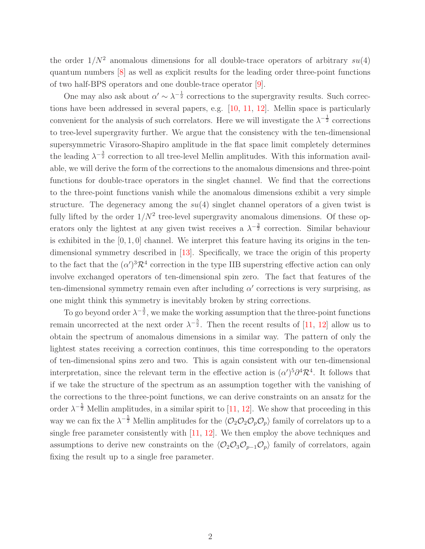the order  $1/N^2$  anomalous dimensions for all double-trace operators of arbitrary  $su(4)$ quantum numbers [\[8\]](#page-27-2) as well as explicit results for the leading order three-point functions of two half-BPS operators and one double-trace operator [\[9\]](#page-27-3).

One may also ask about  $\alpha' \sim \lambda^{-\frac{1}{2}}$  corrections to the supergravity results. Such corrections have been addressed in several papers, e.g. [\[10,](#page-27-4) [11,](#page-27-5) [12\]](#page-27-6). Mellin space is particularly convenient for the analysis of such correlators. Here we will investigate the  $\lambda^{-\frac{1}{2}}$  corrections to tree-level supergravity further. We argue that the consistency with the ten-dimensional supersymmetric Virasoro-Shapiro amplitude in the flat space limit completely determines the leading  $\lambda^{-\frac{3}{2}}$  correction to all tree-level Mellin amplitudes. With this information available, we will derive the form of the corrections to the anomalous dimensions and three-point functions for double-trace operators in the singlet channel. We find that the corrections to the three-point functions vanish while the anomalous dimensions exhibit a very simple structure. The degeneracy among the  $su(4)$  singlet channel operators of a given twist is fully lifted by the order  $1/N^2$  tree-level supergravity anomalous dimensions. Of these operators only the lightest at any given twist receives a  $\lambda^{-\frac{3}{2}}$  correction. Similar behaviour is exhibited in the  $[0, 1, 0]$  channel. We interpret this feature having its origins in the tendimensional symmetry described in [\[13\]](#page-27-7). Specifically, we trace the origin of this property to the fact that the  $(\alpha')^3 \mathcal{R}^4$  correction in the type IIB superstring effective action can only involve exchanged operators of ten-dimensional spin zero. The fact that features of the ten-dimensional symmetry remain even after including  $\alpha'$  corrections is very surprising, as one might think this symmetry is inevitably broken by string corrections.

To go beyond order  $\lambda^{-\frac{3}{2}}$ , we make the working assumption that the three-point functions remain uncorrected at the next order  $\lambda^{-\frac{5}{2}}$ . Then the recent results of [\[11,](#page-27-5) [12\]](#page-27-6) allow us to obtain the spectrum of anomalous dimensions in a similar way. The pattern of only the lightest states receiving a correction continues, this time corresponding to the operators of ten-dimensional spins zero and two. This is again consistent with our ten-dimensional interpretation, since the relevant term in the effective action is  $(\alpha')^5 \partial^4 \mathcal{R}^4$ . It follows that if we take the structure of the spectrum as an assumption together with the vanishing of the corrections to the three-point functions, we can derive constraints on an ansatz for the order  $\lambda^{-\frac{5}{2}}$  Mellin amplitudes, in a similar spirit to [\[11,](#page-27-5) [12\]](#page-27-6). We show that proceeding in this way we can fix the  $\lambda^{-\frac{5}{2}}$  Mellin amplitudes for the  $\langle \mathcal{O}_2 \mathcal{O}_2 \mathcal{O}_p \mathcal{O}_p \rangle$  family of correlators up to a single free parameter consistently with [\[11,](#page-27-5) [12\]](#page-27-6). We then employ the above techniques and assumptions to derive new constraints on the  $\langle \mathcal{O}_2 \mathcal{O}_3 \mathcal{O}_{p-1} \mathcal{O}_p \rangle$  family of correlators, again fixing the result up to a single free parameter.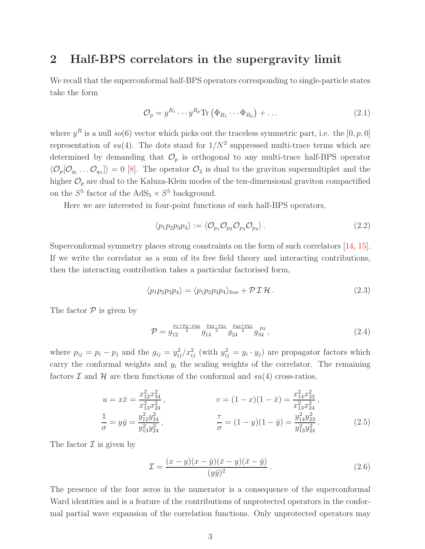## <span id="page-3-0"></span>2 Half-BPS correlators in the supergravity limit

We recall that the superconformal half-BPS operators corresponding to single-particle states take the form

<span id="page-3-2"></span>
$$
\mathcal{O}_p = y^{R_1} \cdots y^{R_p} \text{Tr} \left( \Phi_{R_1} \cdots \Phi_{R_p} \right) + \dots \tag{2.1}
$$

where  $y^R$  is a null so(6) vector which picks out the traceless symmetric part, i.e. the [0, p, 0] representation of  $su(4)$ . The dots stand for  $1/N^2$  suppressed multi-trace terms which are determined by demanding that  $\mathcal{O}_p$  is orthogonal to any multi-trace half-BPS operator  $\langle \mathcal{O}_p[\mathcal{O}_{q_1} \dots \mathcal{O}_{q_n}] \rangle = 0$  [\[8\]](#page-27-2). The operator  $\mathcal{O}_2$  is dual to the graviton supermultiplet and the higher  $\mathcal{O}_p$  are dual to the Kaluza-Klein modes of the ten-dimensional graviton compactified on the  $S^5$  factor of the AdS<sub>5</sub>  $\times S^5$  background.

Here we are interested in four-point functions of such half-BPS operators,

$$
\langle p_1 p_2 p_3 p_4 \rangle := \langle \mathcal{O}_{p_1} \mathcal{O}_{p_2} \mathcal{O}_{p_3} \mathcal{O}_{p_4} \rangle. \tag{2.2}
$$

Superconformal symmetry places strong constraints on the form of such correlators [\[14,](#page-27-8) [15\]](#page-27-9). If we write the correlator as a sum of its free field theory and interacting contributions, then the interacting contribution takes a particular factorised form,

$$
\langle p_1 p_2 p_3 p_4 \rangle = \langle p_1 p_2 p_3 p_4 \rangle_{\text{free}} + \mathcal{P} \mathcal{I} \mathcal{H}.
$$
 (2.3)

The factor  $P$  is given by

$$
\mathcal{P} = g_{12}^{\frac{p_1 + p_2 - p_{43}}{2}} g_{14}^{\frac{p_{43} - p_{21}}{2}} g_{24}^{\frac{p_{43} + p_{21}}{2}} g_{34}^{\frac{p_{3}}{2}}, \qquad (2.4)
$$

where  $p_{ij} = p_i - p_j$  and the  $g_{ij} = y_{ij}^2/x_{ij}^2$  (with  $y_{ij}^2 = y_i \cdot y_j$ ) are propagator factors which carry the conformal weights and  $y_i$  the scaling weights of the correlator. The remaining factors  $\mathcal I$  and  $\mathcal H$  are then functions of the conformal and  $su(4)$  cross-ratios,

$$
u = x\bar{x} = \frac{x_{12}^2 x_{34}^2}{x_{13}^2 x_{24}^2},
$$
  
\n
$$
v = (1 - x)(1 - \bar{x}) = \frac{x_{14}^2 x_{23}^2}{x_{13}^2 x_{24}^2},
$$
  
\n
$$
\frac{1}{\sigma} = y\bar{y} = \frac{y_{12}^2 y_{34}^2}{y_{13}^2 y_{24}^2},
$$
  
\n
$$
\frac{\tau}{\sigma} = (1 - y)(1 - \bar{y}) = \frac{y_{14}^2 y_{23}^2}{y_{13}^2 y_{24}^2}.
$$
  
\n(2.5)

The factor  $\mathcal I$  is given by

<span id="page-3-1"></span>
$$
\mathcal{I} = \frac{(x-y)(x-\bar{y})(\bar{x}-y)(\bar{x}-\bar{y})}{(y\bar{y})^2}.
$$
\n
$$
(2.6)
$$

The presence of the four zeros in the numerator is a consequence of the superconformal Ward identities and is a feature of the contributions of unprotected operators in the conformal partial wave expansion of the correlation functions. Only unprotected operators may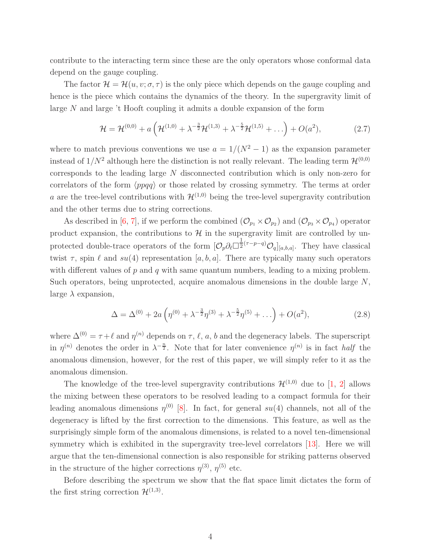contribute to the interacting term since these are the only operators whose conformal data depend on the gauge coupling.

The factor  $\mathcal{H} = \mathcal{H}(u, v; \sigma, \tau)$  is the only piece which depends on the gauge coupling and hence is the piece which contains the dynamics of the theory. In the supergravity limit of large N and large 't Hooft coupling it admits a double expansion of the form

<span id="page-4-0"></span>
$$
\mathcal{H} = \mathcal{H}^{(0,0)} + a\left(\mathcal{H}^{(1,0)} + \lambda^{-\frac{3}{2}}\mathcal{H}^{(1,3)} + \lambda^{-\frac{5}{2}}\mathcal{H}^{(1,5)} + \ldots\right) + O(a^2),\tag{2.7}
$$

where to match previous conventions we use  $a = 1/(N^2 - 1)$  as the expansion parameter instead of  $1/N^2$  although here the distinction is not really relevant. The leading term  $\mathcal{H}^{(0,0)}$ corresponds to the leading large N disconnected contribution which is only non-zero for correlators of the form  $\langle ppqq\rangle$  or those related by crossing symmetry. The terms at order a are the tree-level contributions with  $\mathcal{H}^{(1,0)}$  being the tree-level supergravity contribution and the other terms due to string corrections.

As described in [\[6,](#page-27-0) [7\]](#page-27-1), if we perform the combined  $(\mathcal{O}_{p_1} \times \mathcal{O}_{p_2})$  and  $(\mathcal{O}_{p_3} \times \mathcal{O}_{p_4})$  operator product expansion, the contributions to  $\mathcal H$  in the supergravity limit are controlled by unprotected double-trace operators of the form  $[O_p \partial_\ell \Box^{\frac{1}{2}}$  $\frac{1}{2}^{(\tau-p-q)}\mathcal{O}_q]_{[a,b,a]}$ . They have classical twist  $\tau$ , spin  $\ell$  and  $su(4)$  representation [a, b, a]. There are typically many such operators with different values of  $p$  and  $q$  with same quantum numbers, leading to a mixing problem. Such operators, being unprotected, acquire anomalous dimensions in the double large N, large  $\lambda$  expansion,

<span id="page-4-1"></span>
$$
\Delta = \Delta^{(0)} + 2a\left(\eta^{(0)} + \lambda^{-\frac{3}{2}}\eta^{(3)} + \lambda^{-\frac{5}{2}}\eta^{(5)} + \ldots\right) + O(a^2),\tag{2.8}
$$

where  $\Delta^{(0)} = \tau + \ell$  and  $\eta^{(n)}$  depends on  $\tau$ ,  $\ell$ ,  $a$ ,  $b$  and the degeneracy labels. The superscript in  $\eta^{(n)}$  denotes the order in  $\lambda^{-\frac{n}{2}}$ . Note that for later convenience  $\eta^{(n)}$  is in fact half the anomalous dimension, however, for the rest of this paper, we will simply refer to it as the anomalous dimension.

The knowledge of the tree-level supergravity contributions  $\mathcal{H}^{(1,0)}$  due to [\[1,](#page-26-0) [2\]](#page-26-1) allows the mixing between these operators to be resolved leading to a compact formula for their leading anomalous dimensions  $\eta^{(0)}$  [\[8\]](#page-27-2). In fact, for general  $su(4)$  channels, not all of the degeneracy is lifted by the first correction to the dimensions. This feature, as well as the surprisingly simple form of the anomalous dimensions, is related to a novel ten-dimensional symmetry which is exhibited in the supergravity tree-level correlators [\[13\]](#page-27-7). Here we will argue that the ten-dimensional connection is also responsible for striking patterns observed in the structure of the higher corrections  $\eta^{(3)}$ ,  $\eta^{(5)}$  etc.

Before describing the spectrum we show that the flat space limit dictates the form of the first string correction  $\mathcal{H}^{(1,3)}$ .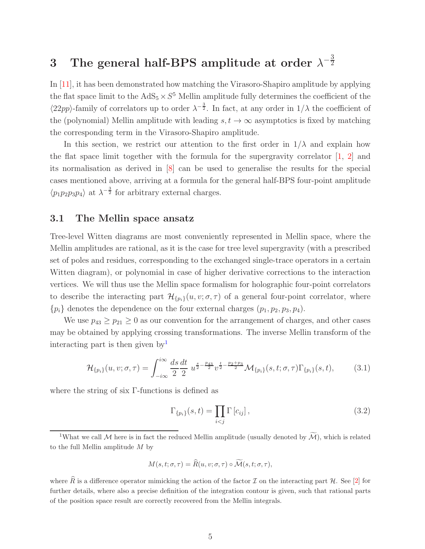#### <span id="page-5-0"></span>3 The general half-BPS amplitude at order  $\lambda^{-\frac{3}{2}}$  $\overline{2}$

In [\[11\]](#page-27-5), it has been demonstrated how matching the Virasoro-Shapiro amplitude by applying the flat space limit to the  $AdS_5 \times S^5$  Mellin amplitude fully determines the coefficient of the  $\langle 22pp \rangle$ -family of correlators up to order  $\lambda^{-\frac{3}{2}}$ . In fact, at any order in  $1/\lambda$  the coefficient of the (polynomial) Mellin amplitude with leading  $s, t \to \infty$  asymptotics is fixed by matching the corresponding term in the Virasoro-Shapiro amplitude.

In this section, we restrict our attention to the first order in  $1/\lambda$  and explain how the flat space limit together with the formula for the supergravity correlator [\[1,](#page-26-0) [2\]](#page-26-1) and its normalisation as derived in [\[8\]](#page-27-2) can be used to generalise the results for the special cases mentioned above, arriving at a formula for the general half-BPS four-point amplitude  $\langle p_1 p_2 p_3 p_4 \rangle$  at  $\lambda^{-\frac{3}{2}}$  for arbitrary external charges.

## <span id="page-5-1"></span>3.1 The Mellin space ansatz

Tree-level Witten diagrams are most conveniently represented in Mellin space, where the Mellin amplitudes are rational, as it is the case for tree level supergravity (with a prescribed set of poles and residues, corresponding to the exchanged single-trace operators in a certain Witten diagram), or polynomial in case of higher derivative corrections to the interaction vertices. We will thus use the Mellin space formalism for holographic four-point correlators to describe the interacting part  $\mathcal{H}_{\{p_i\}}(u, v; \sigma, \tau)$  of a general four-point correlator, where  ${p_i}$  denotes the dependence on the four external charges  $(p_1, p_2, p_3, p_4)$ .

We use  $p_{43} \ge p_{21} \ge 0$  as our convention for the arrangement of charges, and other cases may be obtained by applying crossing transformations. The inverse Mellin transform of the interacting part is then given by

$$
\mathcal{H}_{\{p_i\}}(u, v; \sigma, \tau) = \int_{-i\infty}^{i\infty} \frac{ds}{2} \frac{dt}{2} u^{\frac{s}{2} - \frac{p_{43}}{2}} v^{\frac{t}{2} - \frac{p_{2} + p_{3}}{2}} \mathcal{M}_{\{p_i\}}(s, t; \sigma, \tau) \Gamma_{\{p_i\}}(s, t), \tag{3.1}
$$

where the string of six Γ-functions is defined as

<span id="page-5-4"></span><span id="page-5-3"></span>
$$
\Gamma_{\{p_i\}}(s,t) = \prod_{i < j} \Gamma\left[c_{ij}\right],\tag{3.2}
$$

<span id="page-5-2"></span><sup>1</sup>What we call M here is in fact the reduced Mellin amplitude (usually denoted by  $\widetilde{\mathcal{M}}$ ), which is related to the full Mellin amplitude  $M$  by

$$
M(s,t;\sigma,\tau)=\widehat{R}(u,v;\sigma,\tau)\circ\widetilde{\mathcal{M}}(s,t;\sigma,\tau),
$$

where  $\hat{R}$  is a difference operator mimicking the action of the factor  $\cal I$  on the interacting part  $\cal H$ . See [\[2\]](#page-26-1) for further details, where also a precise definition of the integration contour is given, such that rational parts of the position space result are correctly recovered from the Mellin integrals.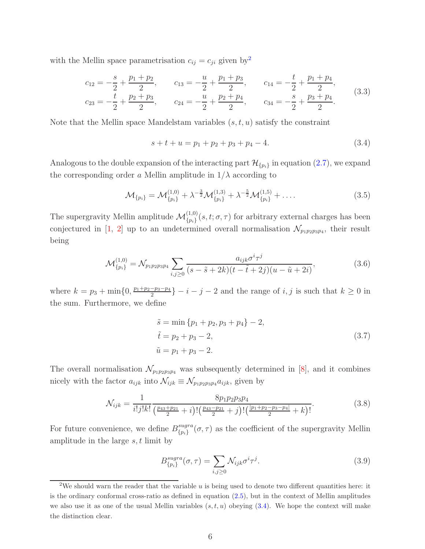with the Mellin space parametrisation  $c_{ij} = c_{ji}$  given by<sup>[2](#page-6-0)</sup>

$$
c_{12} = -\frac{s}{2} + \frac{p_1 + p_2}{2}, \qquad c_{13} = -\frac{u}{2} + \frac{p_1 + p_3}{2}, \qquad c_{14} = -\frac{t}{2} + \frac{p_1 + p_4}{2},
$$
  
\n
$$
c_{23} = -\frac{t}{2} + \frac{p_2 + p_3}{2}, \qquad c_{24} = -\frac{u}{2} + \frac{p_2 + p_4}{2}, \qquad c_{34} = -\frac{s}{2} + \frac{p_3 + p_4}{2}.
$$
\n(3.3)

Note that the Mellin space Mandelstam variables  $(s, t, u)$  satisfy the constraint

<span id="page-6-3"></span><span id="page-6-1"></span>
$$
s + t + u = p_1 + p_2 + p_3 + p_4 - 4. \tag{3.4}
$$

Analogous to the double expansion of the interacting part  $\mathcal{H}_{\{p_i\}}$  in equation [\(2.7\)](#page-4-0), we expand the corresponding order a Mellin amplitude in  $1/\lambda$  according to

$$
\mathcal{M}_{\{p_i\}} = \mathcal{M}_{\{p_i\}}^{(1,0)} + \lambda^{-\frac{3}{2}} \mathcal{M}_{\{p_i\}}^{(1,3)} + \lambda^{-\frac{5}{2}} \mathcal{M}_{\{p_i\}}^{(1,5)} + \dots
$$
\n(3.5)

The supergravity Mellin amplitude  $\mathcal{M}_{\{p_i\}}^{(1,0)}(s,t;\sigma,\tau)$  for arbitrary external charges has been conjectured in [\[1,](#page-26-0) [2\]](#page-26-1) up to an undetermined overall normalisation  $\mathcal{N}_{p_1p_2p_3p_4}$ , their result being

$$
\mathcal{M}_{\{p_i\}}^{(1,0)} = \mathcal{N}_{p_1 p_2 p_3 p_4} \sum_{i,j \ge 0} \frac{a_{ijk} \sigma^i \tau^j}{(s - \tilde{s} + 2k)(t - \tilde{t} + 2j)(u - \tilde{u} + 2i)},
$$
\n(3.6)

where  $k = p_3 + \min\{0, \frac{p_1 + p_2 - p_3 - p_4}{2}\}$  $\left\{\frac{-p_3-p_4}{2}\right\} - i - j - 2$  and the range of  $i, j$  is such that  $k \geq 0$  in the sum. Furthermore, we define

<span id="page-6-2"></span>
$$
\tilde{s} = \min \{p_1 + p_2, p_3 + p_4\} - 2,
$$
  
\n
$$
\tilde{t} = p_2 + p_3 - 2,
$$
  
\n
$$
\tilde{u} = p_1 + p_3 - 2.
$$
\n(3.7)

The overall normalisation  $\mathcal{N}_{p_1p_2p_3p_4}$  was subsequently determined in [\[8\]](#page-27-2), and it combines nicely with the factor  $a_{ijk}$  into  $\mathcal{N}_{ijk} \equiv \mathcal{N}_{p_1p_2p_3p_4}a_{ijk}$ , given by

$$
\mathcal{N}_{ijk} = \frac{1}{i!j!k!} \frac{8p_1p_2p_3p_4}{\left(\frac{p_{43}+p_{21}}{2}+i\right)! \left(\frac{p_{43}-p_{21}}{2}+j\right)! \left(\frac{|p_1+p_2-p_3-p_4|}{2}+k\right)!}.
$$
\n(3.8)

For future convenience, we define  $B_{\{n\}}^{sugra}$  ${^{sugra}_{\{p_i\}}}(\sigma,\tau)$  as the coefficient of the supergravity Mellin amplitude in the large  $s, t$  limit by

<span id="page-6-5"></span><span id="page-6-4"></span>
$$
B_{\{p_i\}}^{sugra}(\sigma,\tau) = \sum_{i,j\geq 0} \mathcal{N}_{ijk} \sigma^i \tau^j.
$$
\n(3.9)

<span id="page-6-0"></span><sup>&</sup>lt;sup>2</sup>We should warn the reader that the variable  $u$  is being used to denote two different quantities here: it is the ordinary conformal cross-ratio as defined in equation [\(2.5\)](#page-3-1), but in the context of Mellin amplitudes we also use it as one of the usual Mellin variables  $(s, t, u)$  obeying  $(3.4)$ . We hope the context will make the distinction clear.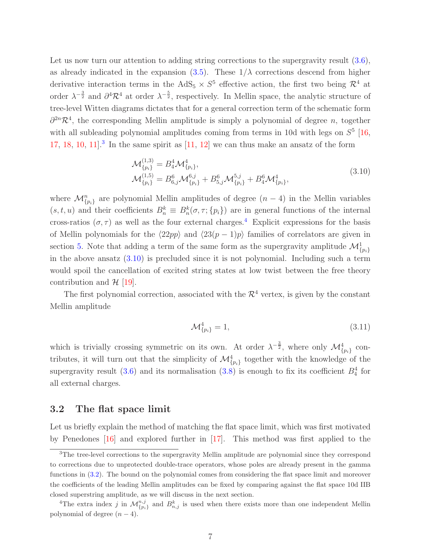Let us now turn our attention to adding string corrections to the supergravity result  $(3.6)$ , as already indicated in the expansion [\(3.5\)](#page-6-3). These  $1/\lambda$  corrections descend from higher derivative interaction terms in the AdS<sub>5</sub>  $\times S^5$  effective action, the first two being  $\mathcal{R}^4$  at order  $\lambda^{-\frac{3}{2}}$  and  $\partial^4 \mathcal{R}^4$  at order  $\lambda^{-\frac{5}{2}}$ , respectively. In Mellin space, the analytic structure of tree-level Witten diagrams dictates that for a general correction term of the schematic form  $\partial^{2n}\mathcal{R}^4$ , the corresponding Mellin amplitude is simply a polynomial of degree *n*, together with all subleading polynomial amplitudes coming from terms in 10d with legs on  $S<sup>5</sup>$  [\[16,](#page-27-10) [17,](#page-27-11) [18,](#page-27-12) [10,](#page-27-4) 11<sup>2</sup> In the same spirit as  $[11, 12]$  $[11, 12]$  we can thus make an ansatz of the form

<span id="page-7-3"></span>
$$
\mathcal{M}_{\{p_i\}}^{(1,3)} = B_4^4 \mathcal{M}_{\{p_i\}}^4,
$$
\n
$$
\mathcal{M}_{\{p_i\}}^{(1,5)} = B_{6,j}^6 \mathcal{M}_{\{p_i\}}^{6,j} + B_{5,j}^6 \mathcal{M}_{\{p_i\}}^{5,j} + B_4^6 \mathcal{M}_{\{p_i\}}^4,
$$
\n(3.10)

where  $\mathcal{M}_{\{p_i\}}^n$  are polynomial Mellin amplitudes of degree  $(n-4)$  in the Mellin variables  $(s, t, u)$  and their coefficients  $B_n^k \equiv B_n^k(\sigma, \tau; \{p_i\})$  are in general functions of the internal cross-ratios  $(\sigma, \tau)$  as well as the four external charges.<sup>[4](#page-7-2)</sup> Explicit expressions for the basis of Mellin polynomials for the  $\langle 22pp \rangle$  and  $\langle 23(p - 1)p \rangle$  families of correlators are given in section [5.](#page-17-0) Note that adding a term of the same form as the supergravity amplitude  $\mathcal{M}_{\{p_i\}}^1$ in the above ansatz  $(3.10)$  is precluded since it is not polynomial. Including such a term would spoil the cancellation of excited string states at low twist between the free theory contribution and  $\mathcal{H}$  [\[19\]](#page-27-13).

The first polynomial correction, associated with the  $\mathcal{R}^4$  vertex, is given by the constant Mellin amplitude

$$
\mathcal{M}_{\{p_i\}}^4 = 1,\tag{3.11}
$$

which is trivially crossing symmetric on its own. At order  $\lambda^{-\frac{3}{2}}$ , where only  $\mathcal{M}_{\{p_i\}}^4$  contributes, it will turn out that the simplicity of  $\mathcal{M}_{\{p_i\}}^4$  together with the knowledge of the supergravity result [\(3.6\)](#page-6-2) and its normalisation [\(3.8\)](#page-6-4) is enough to fix its coefficient  $B_4^4$  for all external charges.

### <span id="page-7-0"></span>3.2 The flat space limit

Let us briefly explain the method of matching the flat space limit, which was first motivated by Penedones [\[16\]](#page-27-10) and explored further in [\[17\]](#page-27-11). This method was first applied to the

<span id="page-7-1"></span><sup>&</sup>lt;sup>3</sup>The tree-level corrections to the supergravity Mellin amplitude are polynomial since they correspond to corrections due to unprotected double-trace operators, whose poles are already present in the gamma functions in [\(3.2\)](#page-5-3). The bound on the polynomial comes from considering the flat space limit and moreover the coefficients of the leading Mellin amplitudes can be fixed by comparing against the flat space 10d IIB closed superstring amplitude, as we will discuss in the next section.

<span id="page-7-2"></span><sup>&</sup>lt;sup>4</sup>The extra index j in  $\mathcal{M}_{\{p_i\}}^{n,j}$  and  $B_{n,j}^k$  is used when there exists more than one independent Mellin polynomial of degree  $(n-4)$ .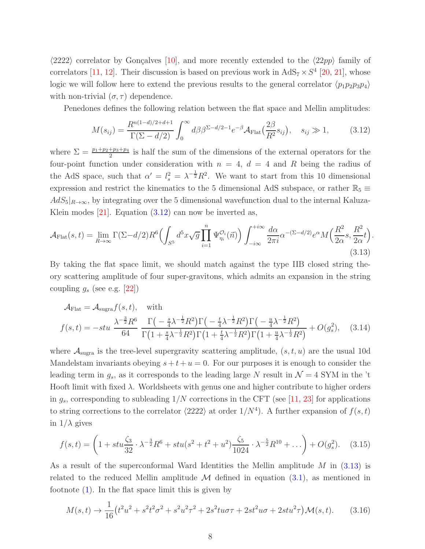$\langle 2222 \rangle$  correlator by Gonçalves [\[10\]](#page-27-4), and more recently extended to the  $\langle 22pp \rangle$  family of correlators [\[11,](#page-27-5) [12\]](#page-27-6). Their discussion is based on previous work in  $AdS_7 \times S^4$  [\[20,](#page-27-14) [21\]](#page-27-15), whose logic we will follow here to extend the previous results to the general correlator  $\langle p_1p_2p_3p_4\rangle$ with non-trivial  $(\sigma, \tau)$  dependence.

Penedones defines the following relation between the flat space and Mellin amplitudes:

<span id="page-8-0"></span>
$$
M(s_{ij}) = \frac{R^{n(1-d)/2+d+1}}{\Gamma(\Sigma - d/2)} \int_0^\infty d\beta \beta^{\Sigma - d/2 - 1} e^{-\beta} \mathcal{A}_{\text{Flat}}\left(\frac{2\beta}{R^2} s_{ij}\right), \quad s_{ij} \gg 1,
$$
 (3.12)

where  $\Sigma = \frac{p_1 + p_2 + p_3 + p_4}{2}$  is half the sum of the dimensions of the external operators for the four-point function under consideration with  $n = 4$ ,  $d = 4$  and R being the radius of the AdS space, such that  $\alpha' = l_s^2 = \lambda^{-\frac{1}{2}} R^2$ . We want to start from this 10 dimensional expression and restrict the kinematics to the 5 dimensional AdS subspace, or rather  $\mathbb{R}_5 \equiv$  $AdS_5|_{R\to\infty}$ , by integrating over the 5 dimensional wavefunction dual to the internal Kaluza-Klein modes  $[21]$ . Equation  $(3.12)$  can now be inverted as,

<span id="page-8-1"></span>
$$
\mathcal{A}_{\text{Flat}}(s,t) = \lim_{R \to \infty} \Gamma(\Sigma - d/2) R^6 \left( \int_{S^5} d^5 x \sqrt{g} \prod_{i=1}^n \Psi_{\eta_i}^{\mathcal{O}_i}(\vec{n}) \right) \int_{-i\infty}^{+i\infty} \frac{d\alpha}{2\pi i} \alpha^{-(\Sigma - d/2)} e^{\alpha} M \left( \frac{R^2}{2\alpha} s, \frac{R^2}{2\alpha} t \right). \tag{3.13}
$$

By taking the flat space limit, we should match against the type IIB closed string theory scattering amplitude of four super-gravitons, which admits an expansion in the string coupling  $g_s$  (see e.g. [\[22\]](#page-28-0))

<span id="page-8-2"></span>
$$
\mathcal{A}_{\text{Flat}} = \mathcal{A}_{\text{sugra}} f(s, t), \quad \text{with}
$$
\n
$$
f(s, t) = -stu \frac{\lambda^{-\frac{3}{2}} R^6}{64} \frac{\Gamma\left(-\frac{s}{4}\lambda^{-\frac{1}{2}}R^2\right)\Gamma\left(-\frac{t}{4}\lambda^{-\frac{1}{2}}R^2\right)\Gamma\left(-\frac{u}{4}\lambda^{-\frac{1}{2}}R^2\right)}{\Gamma\left(1 + \frac{s}{4}\lambda^{-\frac{1}{2}}R^2\right)\Gamma\left(1 + \frac{t}{4}\lambda^{-\frac{1}{2}}R^2\right)\Gamma\left(1 + \frac{u}{4}\lambda^{-\frac{1}{2}}R^2\right)} + O(g_s^2), \quad (3.14)
$$

where  $A_{\text{sugra}}$  is the tree-level supergravity scattering amplitude,  $(s, t, u)$  are the usual 10d Mandelstam invariants obeying  $s + t + u = 0$ . For our purposes it is enough to consider the leading term in  $g_s$ , as it corresponds to the leading large N result in  $\mathcal{N}=4$  SYM in the 't Hooft limit with fixed  $\lambda$ . Worldsheets with genus one and higher contribute to higher orders in  $g_s$ , corresponding to subleading  $1/N$  corrections in the CFT (see [\[11,](#page-27-5) [23\]](#page-28-1) for applications to string corrections to the correlator  $\langle 2222 \rangle$  at order  $1/N^4$ ). A further expansion of  $f(s, t)$ in  $1/\lambda$  gives

<span id="page-8-3"></span>
$$
f(s,t) = \left(1 + stu\frac{\zeta_3}{32} \cdot \lambda^{-\frac{3}{2}} R^6 + stu(s^2 + t^2 + u^2)\frac{\zeta_5}{1024} \cdot \lambda^{-\frac{5}{2}} R^{10} + \ldots\right) + O(g_s^2). \tag{3.15}
$$

As a result of the superconformal Ward Identities the Mellin amplitude M in [\(3.13\)](#page-8-1) is related to the reduced Mellin amplitude  $\mathcal M$  defined in equation [\(3.1\)](#page-5-4), as mentioned in footnote [\(1\)](#page-5-2). In the flat space limit this is given by

$$
M(s,t) \to \frac{1}{16} \left( t^2 u^2 + s^2 t^2 \sigma^2 + s^2 u^2 \tau^2 + 2s^2 t u \sigma \tau + 2st^2 u \sigma + 2st u^2 \tau \right) \mathcal{M}(s,t). \tag{3.16}
$$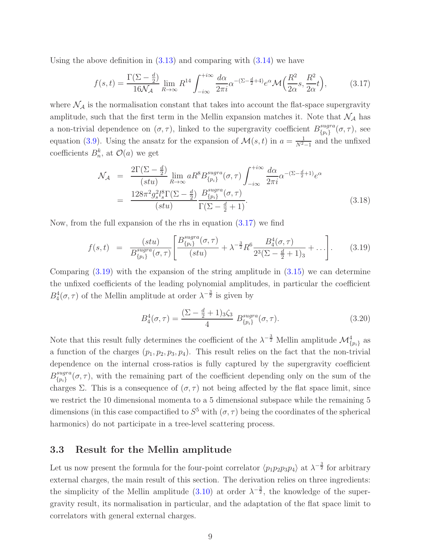Using the above definition in  $(3.13)$  and comparing with  $(3.14)$  we have

<span id="page-9-1"></span>
$$
f(s,t) = \frac{\Gamma(\Sigma - \frac{d}{2})}{16\mathcal{N}_{\mathcal{A}}} \lim_{R \to \infty} R^{14} \int_{-i\infty}^{+i\infty} \frac{d\alpha}{2\pi i} \alpha^{-(\Sigma - \frac{d}{2} + 4)} e^{\alpha} \mathcal{M}\left(\frac{R^2}{2\alpha}s, \frac{R^2}{2\alpha}t\right),\tag{3.17}
$$

where  $\mathcal{N}_{\mathcal{A}}$  is the normalisation constant that takes into account the flat-space supergravity amplitude, such that the first term in the Mellin expansion matches it. Note that  $\mathcal{N}_{\mathcal{A}}$  has a non-trivial dependence on  $(\sigma, \tau)$ , linked to the supergravity coefficient  $B_{\tau_{n}}^{sugra}$  $_{\{p_i\}}^{sugra}(\sigma, \tau)$ , see equation [\(3.9\)](#page-6-5). Using the ansatz for the expansion of  $\mathcal{M}(s,t)$  in  $a = \frac{1}{N^2-1}$  and the unfixed coefficients  $B_n^k$ , at  $\mathcal{O}(a)$  we get

$$
\mathcal{N}_{\mathcal{A}} = \frac{2\Gamma(\Sigma - \frac{d}{2})}{(stu)} \lim_{R \to \infty} aR^{8} B_{\{p_{i}\}}^{sugra}(\sigma, \tau) \int_{-i\infty}^{+i\infty} \frac{d\alpha}{2\pi i} \alpha^{-(\Sigma - \frac{d}{2} + 1)} e^{\alpha}
$$

$$
= \frac{128\pi^{2} g_{s}^{2} l_{s}^{8} \Gamma(\Sigma - \frac{d}{2})}{(stu)} \frac{B_{\{p_{i}\}}^{sugra}(\sigma, \tau)}{\Gamma(\Sigma - \frac{d}{2} + 1)}.
$$
(3.18)

Now, from the full expansion of the rhs in equation [\(3.17\)](#page-9-1) we find

<span id="page-9-2"></span>
$$
f(s,t) = \frac{(stu)}{B_{\{p_i\}}^{sugra}(\sigma,\tau)} \left[ \frac{B_{\{p_i\}}^{sugra}(\sigma,\tau)}{(stu)} + \lambda^{-\frac{3}{2}} R^6 \frac{B_4^4(\sigma,\tau)}{2^3 (\Sigma - \frac{d}{2} + 1)_3} + \dots \right].
$$
 (3.19)

Comparing [\(3.19\)](#page-9-2) with the expansion of the string amplitude in [\(3.15\)](#page-8-3) we can determine the unfixed coefficients of the leading polynomial amplitudes, in particular the coefficient  $B_4^4(\sigma, \tau)$  of the Mellin amplitude at order  $\lambda^{-\frac{3}{2}}$  is given by

<span id="page-9-3"></span>
$$
B_4^4(\sigma, \tau) = \frac{(\Sigma - \frac{d}{2} + 1)_3 \zeta_3}{4} B_{\{p_i\}}^{sugra}(\sigma, \tau).
$$
 (3.20)

Note that this result fully determines the coefficient of the  $\lambda^{-\frac{3}{2}}$  Mellin amplitude  $\mathcal{M}_{\{p_i\}}^4$  as a function of the charges  $(p_1, p_2, p_3, p_4)$ . This result relies on the fact that the non-trivial dependence on the internal cross-ratios is fully captured by the supergravity coefficient  $B^{sugra}_{\{n\}}$  ${sugra}_{\{p_i\}}(\sigma, \tau)$ , with the remaining part of the coefficient depending only on the sum of the charges Σ. This is a consequence of  $(\sigma, \tau)$  not being affected by the flat space limit, since we restrict the 10 dimensional momenta to a 5 dimensional subspace while the remaining 5 dimensions (in this case compactified to  $S^5$  with  $(\sigma, \tau)$  being the coordinates of the spherical harmonics) do not participate in a tree-level scattering process.

## <span id="page-9-0"></span>3.3 Result for the Mellin amplitude

Let us now present the formula for the four-point correlator  $\langle p_1p_2p_3p_4\rangle$  at  $\lambda^{-\frac{3}{2}}$  for arbitrary external charges, the main result of this section. The derivation relies on three ingredients: the simplicity of the Mellin amplitude [\(3.10\)](#page-7-3) at order  $\lambda^{-\frac{3}{2}}$ , the knowledge of the supergravity result, its normalisation in particular, and the adaptation of the flat space limit to correlators with general external charges.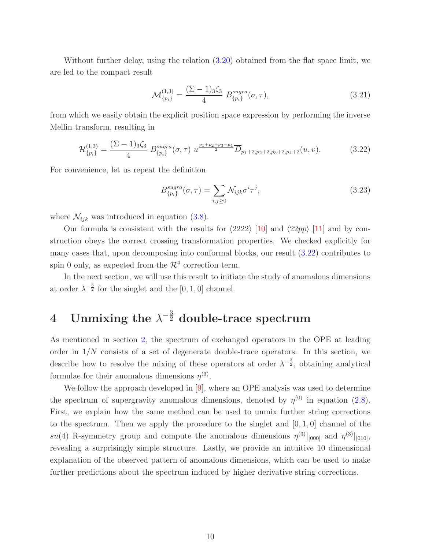Without further delay, using the relation [\(3.20\)](#page-9-3) obtained from the flat space limit, we are led to the compact result

$$
\mathcal{M}_{\{p_i\}}^{(1,3)} = \frac{(\Sigma - 1)_3 \zeta_3}{4} B_{\{p_i\}}^{sugra}(\sigma, \tau), \tag{3.21}
$$

from which we easily obtain the explicit position space expression by performing the inverse Mellin transform, resulting in

$$
\mathcal{H}_{\{p_i\}}^{(1,3)} = \frac{(\Sigma - 1)_3 \zeta_3}{4} \ B_{\{p_i\}}^{sugra}(\sigma, \tau) \ u^{\frac{p_1 + p_2 + p_3 - p_4}{2}} \overline{D}_{p_1 + 2, p_2 + 2, p_3 + 2, p_4 + 2}(u, v). \tag{3.22}
$$

For convenience, let us repeat the definition

<span id="page-10-1"></span>
$$
B_{\{p_i\}}^{sugra}(\sigma,\tau) = \sum_{i,j\geq 0} \mathcal{N}_{ijk} \sigma^i \tau^j,\tag{3.23}
$$

where  $\mathcal{N}_{ijk}$  was introduced in equation [\(3.8\)](#page-6-4).

Our formula is consistent with the results for  $\langle 2222 \rangle$  [\[10\]](#page-27-4) and  $\langle 22pp \rangle$  [\[11\]](#page-27-5) and by construction obeys the correct crossing transformation properties. We checked explicitly for many cases that, upon decomposing into conformal blocks, our result [\(3.22\)](#page-10-1) contributes to spin 0 only, as expected from the  $\mathcal{R}^4$  correction term.

In the next section, we will use this result to initiate the study of anomalous dimensions at order  $\lambda^{-\frac{3}{2}}$  for the singlet and the [0, 1, 0] channel.

# <span id="page-10-0"></span> $4$  Unmixing the  $\lambda^{-\frac{3}{2}}$  double-trace spectrum

As mentioned in section [2,](#page-3-0) the spectrum of exchanged operators in the OPE at leading order in  $1/N$  consists of a set of degenerate double-trace operators. In this section, we describe how to resolve the mixing of these operators at order  $\lambda^{-\frac{3}{2}}$ , obtaining analytical formulae for their anomalous dimensions  $\eta^{(3)}$ .

We follow the approach developed in [\[9\]](#page-27-3), where an OPE analysis was used to determine the spectrum of supergravity anomalous dimensions, denoted by  $\eta^{(0)}$  in equation [\(2.8\)](#page-4-1). First, we explain how the same method can be used to unmix further string corrections to the spectrum. Then we apply the procedure to the singlet and  $[0, 1, 0]$  channel of the  $su(4)$  R-symmetry group and compute the anomalous dimensions  $\eta^{(3)}|_{[000]}$  and  $\eta^{(3)}|_{[010]}$ , revealing a surprisingly simple structure. Lastly, we provide an intuitive 10 dimensional explanation of the observed pattern of anomalous dimensions, which can be used to make further predictions about the spectrum induced by higher derivative string corrections.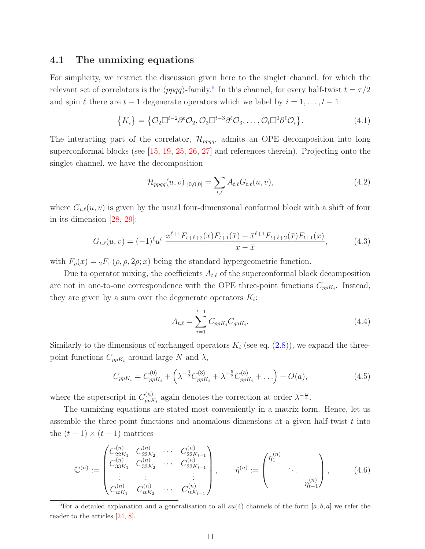### <span id="page-11-0"></span>4.1 The unmixing equations

For simplicity, we restrict the discussion given here to the singlet channel, for which the relevant set of correlators is the  $\langle ppqq\rangle$ -family.<sup>[5](#page-11-1)</sup> In this channel, for every half-twist  $t = \tau/2$ and spin  $\ell$  there are  $t - 1$  degenerate operators which we label by  $i = 1, \ldots, t - 1$ :

$$
\{K_i\} = \{ \mathcal{O}_2 \Box^{t-2} \partial^{\ell} \mathcal{O}_2, \mathcal{O}_3 \Box^{t-3} \partial^{\ell} \mathcal{O}_3, \dots, \mathcal{O}_t \Box^0 \partial^{\ell} \mathcal{O}_t \}.
$$
\n(4.1)

The interacting part of the correlator,  $\mathcal{H}_{ppqq}$ , admits an OPE decomposition into long superconformal blocks (see [\[15,](#page-27-9) [19,](#page-27-13) [25,](#page-28-2) [26,](#page-28-3) [27\]](#page-28-4) and references therein). Projecting onto the singlet channel, we have the decomposition

<span id="page-11-3"></span>
$$
\mathcal{H}_{ppqq}(u,v)|_{[0,0,0]} = \sum_{t,\ell} A_{t,\ell} G_{t,\ell}(u,v),\tag{4.2}
$$

where  $G_{t,\ell}(u, v)$  is given by the usual four-dimensional conformal block with a shift of four in its dimension [\[28,](#page-28-5) [29\]](#page-28-6):

$$
G_{t,\ell}(u,v) = (-1)^{\ell} u^{t} \frac{x^{\ell+1} F_{t+\ell+2}(x) F_{t+1}(\bar{x}) - \bar{x}^{\ell+1} F_{t+\ell+2}(\bar{x}) F_{t+1}(x)}{x - \bar{x}},
$$
(4.3)

with  $F_{\rho}(x) = {}_2F_1(\rho, \rho, 2\rho; x)$  being the standard hypergeometric function.

Due to operator mixing, the coefficients  $A_{t,\ell}$  of the superconformal block decomposition are not in one-to-one correspondence with the OPE three-point functions  $C_{ppK_i}$ . Instead, they are given by a sum over the degenerate operators  $K_i$ :

<span id="page-11-2"></span>
$$
A_{t,\ell} = \sum_{i=1}^{t-1} C_{ppK_i} C_{qqK_i}.
$$
\n(4.4)

Similarly to the dimensions of exchanged operators  $K_i$  (see eq.  $(2.8)$ ), we expand the threepoint functions  $C_{ppK_i}$  around large N and  $\lambda$ ,

$$
C_{ppK_i} = C_{ppK_i}^{(0)} + \left(\lambda^{-\frac{3}{2}} C_{ppK_i}^{(3)} + \lambda^{-\frac{5}{2}} C_{ppK_i}^{(5)} + \ldots\right) + O(a),\tag{4.5}
$$

where the superscript in  $C_{nnl}^{(n)}$  $p_{pK_i}^{(n)}$  again denotes the correction at order  $\lambda^{-\frac{n}{2}}$ .

The unmixing equations are stated most conveniently in a matrix form. Hence, let us assemble the three-point functions and anomalous dimensions at a given half-twist  $t$  into the  $(t-1) \times (t-1)$  matrices

$$
\mathbb{C}^{(n)} := \begin{pmatrix} C_{22K_1}^{(n)} & C_{22K_2}^{(n)} & \cdots & C_{22K_{t-1}}^{(n)} \\ C_{33K_1}^{(n)} & C_{33K_2}^{(n)} & \cdots & C_{33K_{t-1}}^{(n)} \\ \vdots & \vdots & & \vdots \\ C_{t_{tK_1}}^{(n)} & C_{t_{tK_2}}^{(n)} & \cdots & C_{t_{tK_{t-1}}}^{(n)} \end{pmatrix}, \qquad \hat{\eta}^{(n)} := \begin{pmatrix} \eta_1^{(n)} & & \\ & \ddots & \\ & & \eta_{t-1}^{(n)} \end{pmatrix}, \qquad (4.6)
$$

<span id="page-11-1"></span><sup>5</sup>For a detailed explanation and a generalisation to all  $su(4)$  channels of the form [a, b, a] we refer the reader to the articles [\[24,](#page-28-7) [8\]](#page-27-2).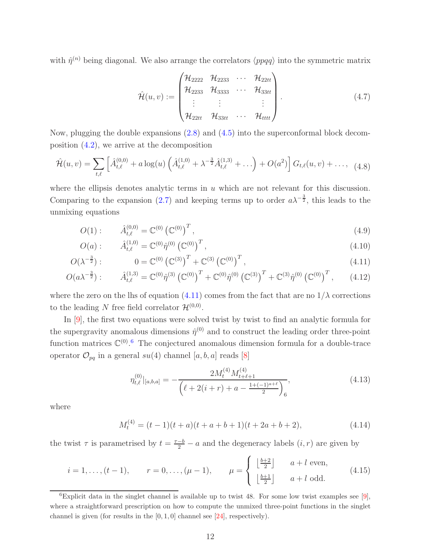with  $\hat{\eta}^{(n)}$  being diagonal. We also arrange the correlators  $\langle ppqq\rangle$  into the symmetric matrix

$$
\hat{\mathcal{H}}(u,v) := \begin{pmatrix} \mathcal{H}_{2222} & \mathcal{H}_{2233} & \cdots & \mathcal{H}_{22tt} \\ \mathcal{H}_{2233} & \mathcal{H}_{3333} & \cdots & \mathcal{H}_{33tt} \\ \vdots & \vdots & & \vdots \\ \mathcal{H}_{22tt} & \mathcal{H}_{33tt} & \cdots & \mathcal{H}_{tttt} \end{pmatrix} .
$$
\n(4.7)

Now, plugging the double expansions [\(2.8\)](#page-4-1) and [\(4.5\)](#page-11-2) into the superconformal block decomposition [\(4.2\)](#page-11-3), we arrive at the decomposition

$$
\hat{\mathcal{H}}(u,v) = \sum_{t,\ell} \left[ \hat{A}_{t,\ell}^{(0,0)} + a \log(u) \left( \hat{A}_{t,\ell}^{(1,0)} + \lambda^{-\frac{3}{2}} \hat{A}_{t,\ell}^{(1,3)} + \ldots \right) + O(a^2) \right] G_{t,\ell}(u,v) + \ldots, \tag{4.8}
$$

where the ellipsis denotes analytic terms in  $u$  which are not relevant for this discussion. Comparing to the expansion [\(2.7\)](#page-4-0) and keeping terms up to order  $a\lambda^{-\frac{3}{2}}$ , this leads to the unmixing equations

$$
O(1): \qquad \hat{A}_{t,\ell}^{(0,0)} = \mathbb{C}^{(0)} (\mathbb{C}^{(0)})^T, \qquad (4.9)
$$

$$
O(a): \qquad \hat{A}_{t,\ell}^{(1,0)} = \mathbb{C}^{(0)} \hat{\eta}^{(0)} \left(\mathbb{C}^{(0)}\right)^{T},\tag{4.10}
$$

$$
O(\lambda^{-\frac{3}{2}}): \qquad 0 = \mathbb{C}^{(0)}(\mathbb{C}^{(3)})^T + \mathbb{C}^{(3)}(\mathbb{C}^{(0)})^T, \qquad (4.11)
$$

$$
O(a\lambda^{-\frac{3}{2}}): \qquad \hat{A}_{t,\ell}^{(1,3)} = \mathbb{C}^{(0)}\hat{\eta}^{(3)} (\mathbb{C}^{(0)})^T + \mathbb{C}^{(0)}\hat{\eta}^{(0)} (\mathbb{C}^{(3)})^T + \mathbb{C}^{(3)}\hat{\eta}^{(0)} (\mathbb{C}^{(0)})^T, \qquad (4.12)
$$

where the zero on the lhs of equation [\(4.11\)](#page-12-0) comes from the fact that are no  $1/\lambda$  corrections to the leading N free field correlator  $\mathcal{H}^{(0,0)}$ .

In [\[9\]](#page-27-3), the first two equations were solved twist by twist to find an analytic formula for the supergravity anomalous dimensions  $\hat{\eta}^{(0)}$  and to construct the leading order three-point function matrices  $\mathbb{C}^{(0)}$ .<sup>[6](#page-12-1)</sup> The conjectured anomalous dimension formula for a double-trace operator  $\mathcal{O}_{pq}$  in a general  $su(4)$  channel  $[a,b,a]$  reads  $[8]$ 

<span id="page-12-3"></span><span id="page-12-2"></span><span id="page-12-0"></span>
$$
\eta_{t,\ell}^{(0)}|_{[a,b,a]} = -\frac{2M_t^{(4)}M_{t+\ell+1}^{(4)}}{\left(\ell+2(i+r)+a-\frac{1+(-1)^{a+\ell}}{2}\right)_6},\tag{4.13}
$$

where

$$
M_t^{(4)} = (t-1)(t+a)(t+a+b+1)(t+2a+b+2),
$$
\n(4.14)

the twist  $\tau$  is parametrised by  $t = \frac{\tau - b}{2} - a$  and the degeneracy labels  $(i, r)$  are given by

$$
i = 1, \dots, (t-1), \qquad r = 0, \dots, (\mu - 1), \qquad \mu = \begin{cases} \left\lfloor \frac{b+2}{2} \right\rfloor & a+l \text{ even}, \\ \left\lfloor \frac{b+1}{2} \right\rfloor & a+l \text{ odd}. \end{cases} \tag{4.15}
$$

<span id="page-12-1"></span><sup>&</sup>lt;sup>6</sup>Explicit data in the singlet channel is available up to twist 48. For some low twist examples see [\[9\]](#page-27-3), where a straightforward prescription on how to compute the unmixed three-point functions in the singlet channel is given (for results in the  $[0, 1, 0]$  channel see [\[24\]](#page-28-7), respectively).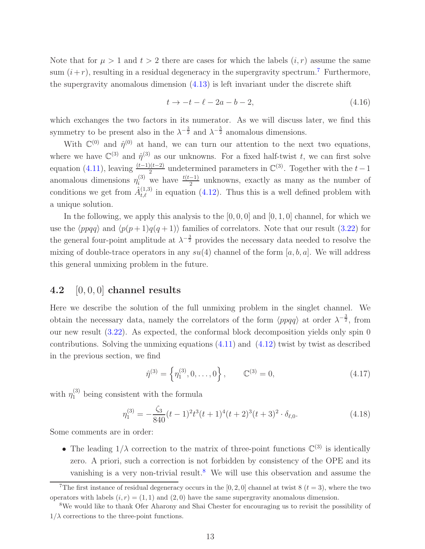Note that for  $\mu > 1$  and  $t > 2$  there are cases for which the labels  $(i, r)$  assume the same sum  $(i+r)$ , resulting in a residual degeneracy in the supergravity spectrum.<sup>[7](#page-13-1)</sup> Furthermore, the supergravity anomalous dimension  $(4.13)$  is left invariant under the discrete shift

<span id="page-13-4"></span>
$$
t \to -t - \ell - 2a - b - 2,\tag{4.16}
$$

which exchanges the two factors in its numerator. As we will discuss later, we find this symmetry to be present also in the  $\lambda^{-\frac{3}{2}}$  and  $\lambda^{-\frac{5}{2}}$  anomalous dimensions.

With  $\mathbb{C}^{(0)}$  and  $\hat{\eta}^{(0)}$  at hand, we can turn our attention to the next two equations, where we have  $\mathbb{C}^{(3)}$  and  $\hat{\eta}^{(3)}$  as our unknowns. For a fixed half-twist t, we can first solve equation [\(4.11\)](#page-12-0), leaving  $\frac{(t-1)(t-2)}{2}$  undetermined parameters in  $\mathbb{C}^{(3)}$ . Together with the  $t-1$ anomalous dimensions  $\eta_i^{(3)}$  we have  $\frac{t(t-1)}{2}$  unknowns, exactly as many as the number of conditions we get from  $\hat{A}^{(1,3)}_{t,\ell}$  in equation [\(4.12\)](#page-12-3). Thus this is a well defined problem with a unique solution.

In the following, we apply this analysis to the  $[0, 0, 0]$  and  $[0, 1, 0]$  channel, for which we use the  $\langle p \rho q q \rangle$  and  $\langle p(p + 1)q(q + 1) \rangle$  families of correlators. Note that our result [\(3.22\)](#page-10-1) for the general four-point amplitude at  $\lambda^{-\frac{3}{2}}$  provides the necessary data needed to resolve the mixing of double-trace operators in any  $su(4)$  channel of the form [a, b, a]. We will address this general unmixing problem in the future.

## <span id="page-13-0"></span>4.2  $[0, 0, 0]$  channel results

Here we describe the solution of the full unmixing problem in the singlet channel. We obtain the necessary data, namely the correlators of the form  $\langle ppqq\rangle$  at order  $\lambda^{-\frac{3}{2}}$ , from our new result [\(3.22\)](#page-10-1). As expected, the conformal block decomposition yields only spin 0 contributions. Solving the unmixing equations  $(4.11)$  and  $(4.12)$  twist by twist as described in the previous section, we find

<span id="page-13-3"></span>
$$
\hat{\eta}^{(3)} = \left\{ \eta_1^{(3)}, 0, \dots, 0 \right\}, \qquad \mathbb{C}^{(3)} = 0,
$$
\n(4.17)

with  $\eta_1^{(3)}$  being consistent with the formula

$$
\eta_1^{(3)} = -\frac{\zeta_3}{840}(t-1)^2 t^3 (t+1)^4 (t+2)^3 (t+3)^2 \cdot \delta_{\ell,0}.
$$
\n(4.18)

Some comments are in order:

• The leading  $1/\lambda$  correction to the matrix of three-point functions  $\mathbb{C}^{(3)}$  is identically zero. A priori, such a correction is not forbidden by consistency of the OPE and its vanishing is a very non-trivial result.<sup>[8](#page-13-2)</sup> We will use this observation and assume the

<span id="page-13-1"></span><sup>&</sup>lt;sup>7</sup>The first instance of residual degeneracy occurs in the [0, 2, 0] channel at twist 8 ( $t = 3$ ), where the two operators with labels  $(i, r) = (1, 1)$  and  $(2, 0)$  have the same supergravity anomalous dimension.

<span id="page-13-2"></span><sup>8</sup>We would like to thank Ofer Aharony and Shai Chester for encouraging us to revisit the possibility of  $1/\lambda$  corrections to the three-point functions.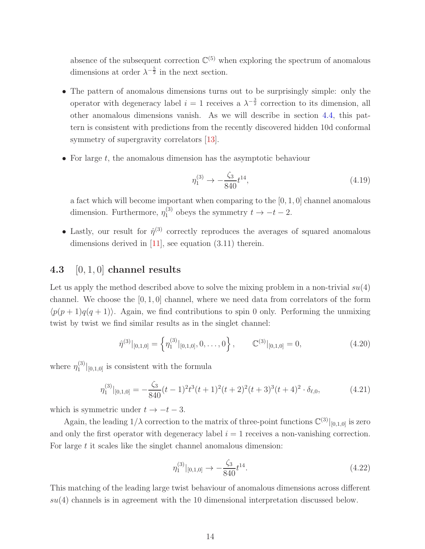absence of the subsequent correction  $\mathbb{C}^{(5)}$  when exploring the spectrum of anomalous dimensions at order  $\lambda^{-\frac{5}{2}}$  in the next section.

- The pattern of anomalous dimensions turns out to be surprisingly simple: only the operator with degeneracy label  $i = 1$  receives a  $\lambda^{-\frac{3}{2}}$  correction to its dimension, all other anomalous dimensions vanish. As we will describe in section [4.4,](#page-15-0) this pattern is consistent with predictions from the recently discovered hidden 10d conformal symmetry of supergravity correlators [\[13\]](#page-27-7).
- For large  $t$ , the anomalous dimension has the asymptotic behaviour

<span id="page-14-2"></span>
$$
\eta_1^{(3)} \to -\frac{\zeta_3}{840} t^{14},\tag{4.19}
$$

a fact which will become important when comparing to the [0, 1, 0] channel anomalous dimension. Furthermore,  $\eta_1^{(3)}$  $t_1^{(3)}$  obeys the symmetry  $t \to -t-2$ .

• Lastly, our result for  $\hat{\eta}^{(3)}$  correctly reproduces the averages of squared anomalous dimensions derived in  $[11]$ , see equation  $(3.11)$  therein.

## <span id="page-14-0"></span>4.3  $[0, 1, 0]$  channel results

Let us apply the method described above to solve the mixing problem in a non-trivial  $su(4)$ channel. We choose the  $[0, 1, 0]$  channel, where we need data from correlators of the form  $\langle p(p + 1)q(q + 1)\rangle$ . Again, we find contributions to spin 0 only. Performing the unmixing twist by twist we find similar results as in the singlet channel:

$$
\hat{\eta}^{(3)}|_{[0,1,0]} = \left\{ \eta_1^{(3)}|_{[0,1,0]}, 0, \dots, 0 \right\}, \qquad \mathbb{C}^{(3)}|_{[0,1,0]} = 0, \tag{4.20}
$$

where  $\eta_1^{(3)}$  $\binom{[0,1,0]}{[0,1,0]}$  is consistent with the formula

$$
\eta_1^{(3)}|_{[0,1,0]} = -\frac{\zeta_3}{840}(t-1)^2 t^3 (t+1)^2 (t+2)^2 (t+3)^3 (t+4)^2 \cdot \delta_{\ell,0},\tag{4.21}
$$

which is symmetric under  $t \rightarrow -t-3$ .

Again, the leading  $1/\lambda$  correction to the matrix of three-point functions  $\mathbb{C}^{(3)}|_{[0,1,0]}$  is zero and only the first operator with degeneracy label  $i = 1$  receives a non-vanishing correction. For large  $t$  it scales like the singlet channel anomalous dimension:

<span id="page-14-3"></span><span id="page-14-1"></span>
$$
\eta_1^{(3)}|_{[0,1,0]} \to -\frac{\zeta_3}{840} t^{14}.\tag{4.22}
$$

This matching of the leading large twist behaviour of anomalous dimensions across different  $su(4)$  channels is in agreement with the 10 dimensional interpretation discussed below.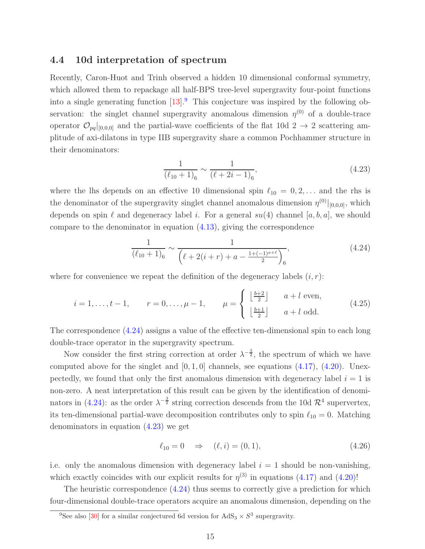#### <span id="page-15-0"></span>4.4 10d interpretation of spectrum

Recently, Caron-Huot and Trinh observed a hidden 10 dimensional conformal symmetry, which allowed them to repackage all half-BPS tree-level supergravity four-point functions into a single generating function  $[13]$ <sup>[9](#page-15-1)</sup>. This conjecture was inspired by the following observation: the singlet channel supergravity anomalous dimension  $\eta^{(0)}$  of a double-trace operator  $\mathcal{O}_{pq}|_{[0,0,0]}$  and the partial-wave coefficients of the flat 10d 2  $\rightarrow$  2 scattering amplitude of axi-dilatons in type IIB supergravity share a common Pochhammer structure in their denominators:

<span id="page-15-3"></span><span id="page-15-2"></span>
$$
\frac{1}{(\ell_{10}+1)_6} \sim \frac{1}{(\ell+2i-1)_6},\tag{4.23}
$$

where the lhs depends on an effective 10 dimensional spin  $\ell_{10} = 0, 2, \ldots$  and the rhs is the denominator of the supergravity singlet channel anomalous dimension  $\eta^{(0)}|_{[0,0,0]}$ , which depends on spin  $\ell$  and degeneracy label i. For a general  $su(4)$  channel [a, b, a], we should compare to the denominator in equation  $(4.13)$ , giving the correspondence

$$
\frac{1}{(\ell_{10}+1)_6} \sim \frac{1}{(\ell+2(i+r)+a-\frac{1+(-1)^{a+\ell}}{2})_6},\tag{4.24}
$$

where for convenience we repeat the definition of the degeneracy labels  $(i, r)$ :

$$
i = 1, ..., t - 1,
$$
  $r = 0, ..., \mu - 1,$   $\mu = \begin{cases} \left\lfloor \frac{b+2}{2} \right\rfloor & a+l \text{ even}, \\ \left\lfloor \frac{b+1}{2} \right\rfloor & a+l \text{ odd}. \end{cases}$  (4.25)

The correspondence [\(4.24\)](#page-15-2) assigns a value of the effective ten-dimensional spin to each long double-trace operator in the supergravity spectrum.

Now consider the first string correction at order  $\lambda^{-\frac{3}{2}}$ , the spectrum of which we have computed above for the singlet and  $[0, 1, 0]$  channels, see equations  $(4.17)$ ,  $(4.20)$ . Unexpectedly, we found that only the first anomalous dimension with degeneracy label  $i = 1$  is non-zero. A neat interpretation of this result can be given by the identification of denomi-nators in [\(4.24\)](#page-15-2): as the order  $\lambda^{-\frac{3}{2}}$  string correction descends from the 10d  $\mathcal{R}^4$  supervertex, its ten-dimensional partial-wave decomposition contributes only to spin  $\ell_{10} = 0$ . Matching denominators in equation [\(4.23\)](#page-15-3) we get

<span id="page-15-4"></span>
$$
\ell_{10} = 0 \Rightarrow (\ell, i) = (0, 1), \tag{4.26}
$$

i.e. only the anomalous dimension with degeneracy label  $i = 1$  should be non-vanishing, which exactly coincides with our explicit results for  $\eta^{(3)}$  in equations [\(4.17\)](#page-13-3) and [\(4.20\)](#page-14-1)!

The heuristic correspondence [\(4.24\)](#page-15-2) thus seems to correctly give a prediction for which four-dimensional double-trace operators acquire an anomalous dimension, depending on the

<span id="page-15-1"></span><sup>&</sup>lt;sup>9</sup>See also [\[30\]](#page-28-8) for a similar conjectured 6d version for  $AdS_3 \times S^3$  supergravity.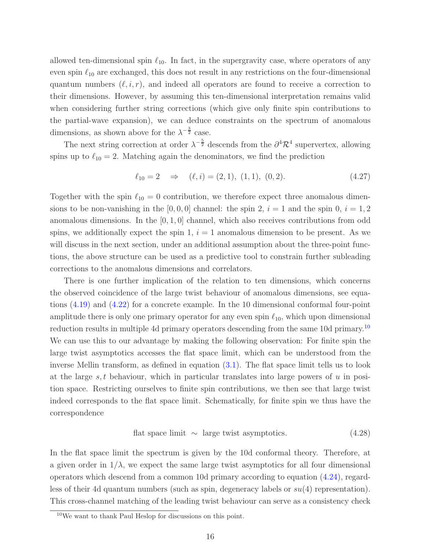allowed ten-dimensional spin  $\ell_{10}$ . In fact, in the supergravity case, where operators of any even spin  $\ell_{10}$  are exchanged, this does not result in any restrictions on the four-dimensional quantum numbers  $(\ell, i, r)$ , and indeed all operators are found to receive a correction to their dimensions. However, by assuming this ten-dimensional interpretation remains valid when considering further string corrections (which give only finite spin contributions to the partial-wave expansion), we can deduce constraints on the spectrum of anomalous dimensions, as shown above for the  $\lambda^{-\frac{3}{2}}$  case.

The next string correction at order  $\lambda^{-\frac{5}{2}}$  descends from the  $\partial^4 \mathcal{R}^4$  supervertex, allowing spins up to  $\ell_{10} = 2$ . Matching again the denominators, we find the prediction

<span id="page-16-1"></span>
$$
\ell_{10} = 2 \quad \Rightarrow \quad (\ell, i) = (2, 1), \ (1, 1), \ (0, 2). \tag{4.27}
$$

Together with the spin  $\ell_{10} = 0$  contribution, we therefore expect three anomalous dimensions to be non-vanishing in the  $[0, 0, 0]$  channel: the spin 2,  $i = 1$  and the spin 0,  $i = 1, 2$ anomalous dimensions. In the  $[0, 1, 0]$  channel, which also receives contributions from odd spins, we additionally expect the spin 1,  $i = 1$  anomalous dimension to be present. As we will discuss in the next section, under an additional assumption about the three-point functions, the above structure can be used as a predictive tool to constrain further subleading corrections to the anomalous dimensions and correlators.

There is one further implication of the relation to ten dimensions, which concerns the observed coincidence of the large twist behaviour of anomalous dimensions, see equations [\(4.19\)](#page-14-2) and [\(4.22\)](#page-14-3) for a concrete example. In the 10 dimensional conformal four-point amplitude there is only one primary operator for any even spin  $\ell_{10}$ , which upon dimensional reduction results in multiple 4d primary operators descending from the same [10](#page-16-0)d primary.<sup>10</sup> We can use this to our advantage by making the following observation: For finite spin the large twist asymptotics accesses the flat space limit, which can be understood from the inverse Mellin transform, as defined in equation [\(3.1\)](#page-5-4). The flat space limit tells us to look at the large s, t behaviour, which in particular translates into large powers of  $u$  in position space. Restricting ourselves to finite spin contributions, we then see that large twist indeed corresponds to the flat space limit. Schematically, for finite spin we thus have the correspondence

<span id="page-16-2"></span>
$$
flat space limit \sim large twist asymptotics. \tag{4.28}
$$

In the flat space limit the spectrum is given by the 10d conformal theory. Therefore, at a given order in  $1/\lambda$ , we expect the same large twist asymptotics for all four dimensional operators which descend from a common 10d primary according to equation [\(4.24\)](#page-15-2), regardless of their 4d quantum numbers (such as spin, degeneracy labels or  $su(4)$  representation). This cross-channel matching of the leading twist behaviour can serve as a consistency check

<span id="page-16-0"></span> $10$ We want to thank Paul Heslop for discussions on this point.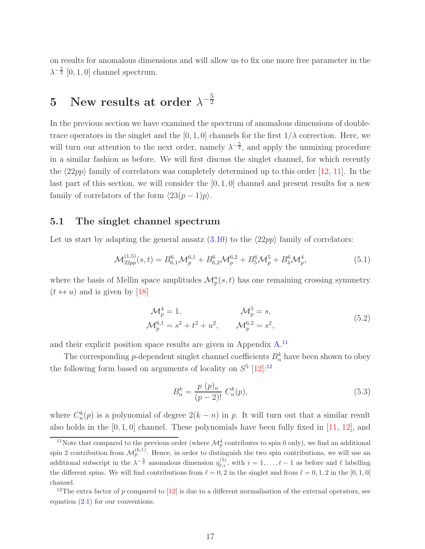on results for anomalous dimensions and will allow us to fix one more free parameter in the  $\lambda^{-\frac{5}{2}}$  [0, 1, 0] channel spectrum.

#### <span id="page-17-0"></span> $5$  New results at order  $\lambda^{-\frac{5}{2}}$  $\overline{2}$

In the previous section we have examined the spectrum of anomalous dimensions of doubletrace operators in the singlet and the [0, 1, 0] channels for the first  $1/\lambda$  correction. Here, we will turn our attention to the next order, namely  $\lambda^{-\frac{5}{2}}$ , and apply the unmixing procedure in a similar fashion as before. We will first discuss the singlet channel, for which recently the  $\langle 22pp \rangle$  family of correlators was completely determined up to this order [\[12,](#page-27-6) [11\]](#page-27-5). In the last part of this section, we will consider the  $[0, 1, 0]$  channel and present results for a new family of correlators of the form  $\langle 23(p - 1)p \rangle$ .

## <span id="page-17-1"></span>5.1 The singlet channel spectrum

Let us start by adapting the general ansatz [\(3.10\)](#page-7-3) to the  $\langle 22pp \rangle$  family of correlators:

$$
\mathcal{M}_{22pp}^{(1,5)}(s,t) = B_{6,1}^6 \mathcal{M}_p^{6,1} + B_{6,2}^6 \mathcal{M}_p^{6,2} + B_5^6 \mathcal{M}_p^{5} + B_4^6 \mathcal{M}_p^{4},\tag{5.1}
$$

where the basis of Mellin space amplitudes  $\mathcal{M}_p^n(s, t)$  has one remaining crossing symmetry  $(t \leftrightarrow u)$  and is given by [\[18\]](#page-27-12)

$$
\mathcal{M}_p^4 = 1, \qquad \mathcal{M}_p^5 = s,
$$
  

$$
\mathcal{M}_p^{6,1} = s^2 + t^2 + u^2, \qquad \mathcal{M}_p^{6,2} = s^2,
$$
 (5.2)

and their explicit position space results are given in Appendix  $A$ .<sup>[11](#page-17-2)</sup>

The corresponding *p*-dependent singlet channel coefficients  $B_n^k$  have been shown to obey the following form based on arguments of locality on  $S^5$  [\[12\]](#page-27-6)<sup>[12](#page-17-3)</sup>

<span id="page-17-5"></span><span id="page-17-4"></span>
$$
B_n^k = \frac{p(p)_n}{(p-2)!} C_n^k(p),
$$
\n(5.3)

where  $C_n^k(p)$  is a polynomial of degree  $2(k - n)$  in p. It will turn out that a similar result also holds in the  $[0, 1, 0]$  channel. These polynomials have been fully fixed in  $[11, 12]$  $[11, 12]$ , and

<span id="page-17-2"></span><sup>&</sup>lt;sup>11</sup>Note that compared to the previous order (where  $\mathcal{M}_{p}^{4}$  contributes to spin 0 only), we find an additional spin 2 contribution from  $\mathcal{M}_{p}^{(6,1)}$ . Hence, in order to distinguish the two spin contributions, we will use an additional subscript in the  $\lambda^{-\frac{5}{2}}$  anomalous dimension  $\eta_{\ell,i}^{(5)}$ , with  $i=1,\ldots,t-1$  as before and  $\ell$  labelling the different spins. We will find contributions from  $\ell = 0, 2$  in the singlet and from  $\ell = 0, 1, 2$  in the [0, 1, 0] channel.

<span id="page-17-3"></span><sup>&</sup>lt;sup>12</sup>The extra factor of p compared to  $[12]$  is due to a different normalisation of the external operators, see equation  $(2.1)$  for our conventions.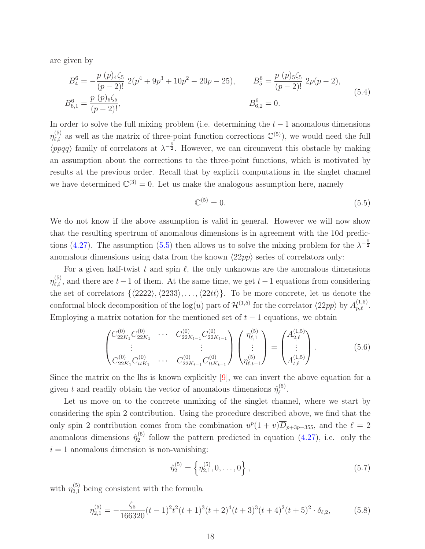are given by

$$
B_4^6 = -\frac{p (p)_{4\zeta_5}}{(p-2)!} 2(p^4 + 9p^3 + 10p^2 - 20p - 25), \qquad B_5^6 = \frac{p (p)_{5\zeta_5}}{(p-2)!} 2p(p-2),
$$
  
\n
$$
B_{6,1}^6 = \frac{p (p)_{6\zeta_5}}{(p-2)!}, \qquad B_{6,2}^6 = 0.
$$
\n(5.4)

In order to solve the full mixing problem (i.e. determining the  $t-1$  anomalous dimensions  $\eta_{\ell,i}^{(5)}$  as well as the matrix of three-point function corrections  $\mathbb{C}^{(5)}$ , we would need the full  $\langle ppqq \rangle$  family of correlators at  $\lambda^{-\frac{5}{2}}$ . However, we can circumvent this obstacle by making an assumption about the corrections to the three-point functions, which is motivated by results at the previous order. Recall that by explicit computations in the singlet channel we have determined  $\mathbb{C}^{(3)} = 0$ . Let us make the analogous assumption here, namely

<span id="page-18-3"></span><span id="page-18-1"></span><span id="page-18-0"></span>
$$
\mathbb{C}^{(5)} = 0.\tag{5.5}
$$

We do not know if the above assumption is valid in general. However we will now show that the resulting spectrum of anomalous dimensions is in agreement with the 10d predic-tions [\(4.27\)](#page-16-1). The assumption [\(5.5\)](#page-18-0) then allows us to solve the mixing problem for the  $\lambda^{-\frac{5}{2}}$ anomalous dimensions using data from the known  $\langle 22pp \rangle$  series of correlators only:

For a given half-twist t and spin  $\ell$ , the only unknowns are the anomalous dimensions  $\eta_{\ell,i}^{(5)}$ , and there are  $t-1$  of them. At the same time, we get  $t-1$  equations from considering the set of correlators  $\{\langle 2222\rangle, \langle 2233\rangle, \ldots, \langle 22tt\rangle\}.$  To be more concrete, let us denote the conformal block decomposition of the  $log(u)$  part of  $\mathcal{H}^{(1,5)}$  for the correlator  $\langle 22pp \rangle$  by  $A_{p,\ell}^{(1,5)}$ . Employing a matrix notation for the mentioned set of  $t - 1$  equations, we obtain

$$
\begin{pmatrix} C_{22K_1}^{(0)} C_{22K_1}^{(0)} & \cdots & C_{22K_{t-1}}^{(0)} C_{22K_{t-1}}^{(0)} \\ \vdots & & \vdots \\ C_{22K_1}^{(0)} C_{ttK_1}^{(0)} & \cdots & C_{22K_{t-1}}^{(0)} C_{ttK_{t-1}}^{(0)} \end{pmatrix} \begin{pmatrix} \eta_{\ell,1}^{(5)} \\ \vdots \\ \eta_{\ell,t-1}^{(5)} \end{pmatrix} = \begin{pmatrix} A_{2,\ell}^{(1,5)} \\ \vdots \\ A_{t,\ell}^{(1,5)} \end{pmatrix} .
$$
 (5.6)

Since the matrix on the lhs is known explicitly  $[9]$ , we can invert the above equation for a given t and readily obtain the vector of anomalous dimensions  $\hat{\eta}_{\ell}^{(5)}$  $\stackrel{(3)}{\ell}$ .

Let us move on to the concrete unmixing of the singlet channel, where we start by considering the spin 2 contribution. Using the procedure described above, we find that the only spin 2 contribution comes from the combination  $u^p(1 + v)\overline{D}_{p+3p+355}$ , and the  $\ell = 2$ anomalous dimensions  $\hat{\eta}_2^{(5)}$  $_2^{(5)}$  follow the pattern predicted in equation  $(4.27)$  $(4.27)$ , i.e. only the  $i = 1$  anomalous dimension is non-vanishing:

<span id="page-18-2"></span>
$$
\hat{\eta}_2^{(5)} = \left\{ \eta_{2,1}^{(5)}, 0, \dots, 0 \right\},\tag{5.7}
$$

with  $\eta_{2,1}^{(5)}$  being consistent with the formula

$$
\eta_{2,1}^{(5)} = -\frac{\zeta_5}{166320}(t-1)^2 t^2 (t+1)^3 (t+2)^4 (t+3)^3 (t+4)^2 (t+5)^2 \cdot \delta_{\ell,2},\tag{5.8}
$$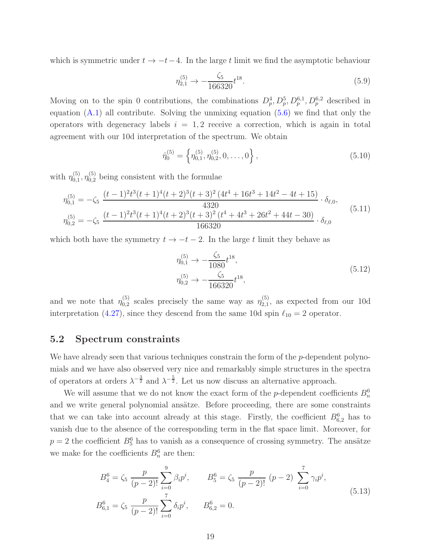which is symmetric under  $t \to -t-4$ . In the large t limit we find the asymptotic behaviour

$$
\eta_{2,1}^{(5)} \to -\frac{\zeta_5}{166320} t^{18}.\tag{5.9}
$$

Moving on to the spin 0 contributions, the combinations  $D_p^4, D_p^5, D_p^{6,1}, D_p^{6,2}$  described in equation  $(A.1)$  all contribute. Solving the unmixing equation  $(5.6)$  we find that only the operators with degeneracy labels  $i = 1, 2$  receive a correction, which is again in total agreement with our 10d interpretation of the spectrum. We obtain

$$
\hat{\eta}_0^{(5)} = \left\{ \eta_{0,1}^{(5)}, \eta_{0,2}^{(5)}, 0, \dots, 0 \right\},\tag{5.10}
$$

with  $\eta_{0.1}^{(5)}$  $_{0,1}^{(5)}$ ,  $\eta_{0,2}^{(5)}$  being consistent with the formulae

$$
\eta_{0,1}^{(5)} = -\zeta_5 \frac{(t-1)^2 t^3 (t+1)^4 (t+2)^3 (t+3)^2 (4t^4+16t^3+14t^2-4t+15)}{4320} \cdot \delta_{\ell,0},
$$
  
\n
$$
\eta_{0,2}^{(5)} = -\zeta_5 \frac{(t-1)^2 t^3 (t+1)^4 (t+2)^3 (t+3)^2 (t^4+4t^3+26t^2+44t-30)}{166320} \cdot \delta_{\ell,0} \qquad (5.11)
$$

which both have the symmetry  $t \to -t-2$ . In the large t limit they behave as

$$
\eta_{0,1}^{(5)} \to -\frac{\zeta_5}{1080} t^{18}, \n\eta_{0,2}^{(5)} \to -\frac{\zeta_5}{166320} t^{18},
$$
\n(5.12)

and we note that  $\eta_{0,2}^{(5)}$  $_{0,2}^{(5)}$  scales precisely the same way as  $\eta_{2,1}^{(5)}$  $_{2,1}^{(9)}$ , as expected from our 10d interpretation (4.[27\)](#page-16-1), since they descend from the same 10d spin  $\ell_{10} = 2$  operator.

## <span id="page-19-0"></span>5.2 Spectrum constraints

We have already seen that various techniques constrain the form of the *p*-dependent polynomials and we have also observed very nice and remarkably simple structures in the spectra of operators at orders  $\lambda^{-\frac{3}{2}}$  and  $\lambda^{-\frac{5}{2}}$ . Let us now discuss an alternative approach.

We will assume that we do not know the exact form of the *p*-dependent coefficients  $B_n^6$ and we write general polynomial ansätze. Before proceeding, there are some constraints that we can take into account already at this stage. Firstly, the coefficient  $B_{6,2}^6$  has to vanish due to the absence of the corresponding term in the flat space limit. Moreover, for  $p = 2$  the coefficient  $B_5^6$  has to vanish as a consequence of crossing symmetry. The ansätze we make for the coefficients  $B_n^6$  are then:

<span id="page-19-1"></span>
$$
B_4^6 = \zeta_5 \frac{p}{(p-2)!} \sum_{i=0}^9 \beta_i p^i, \qquad B_5^6 = \zeta_5 \frac{p}{(p-2)!} (p-2) \sum_{i=0}^7 \gamma_i p^i,
$$
  

$$
B_{6,1}^6 = \zeta_5 \frac{p}{(p-2)!} \sum_{i=0}^7 \delta_i p^i, \qquad B_{6,2}^6 = 0.
$$
 (5.13)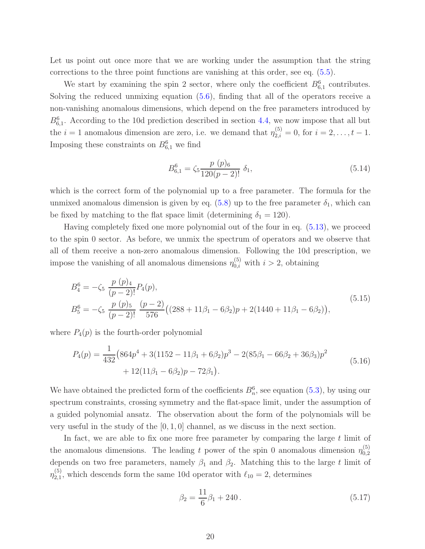Let us point out once more that we are working under the assumption that the string corrections to the three point functions are vanishing at this order, see eq. (5.[5\)](#page-18-0).

We start by examining the spin 2 sector, where only the coefficient  $B_{6,1}^6$  contributes. Solving the reduced unmixing equation [\(5.6\)](#page-18-1), finding that all of the operators receive a non-vanishing anomalous dimensions, which depend on the free parameters introduced by  $B_{6,1}^6$ . According to the 10d prediction described in section [4.4,](#page-15-0) we now impose that all but the  $i = 1$  anomalous dimension are zero, i.e. we demand that  $\eta_{2,i}^{(5)} = 0$ , for  $i = 2, \ldots, t - 1$ . Imposing these constraints on  $B_{6,1}^6$  we find

$$
B_{6,1}^{6} = \zeta_5 \frac{p(p)_{6}}{120(p-2)!} \delta_1, \qquad (5.14)
$$

which is the correct form of the polynomial up to a free parameter. The formula for the unmixed anomalous dimension is given by eq.  $(5.8)$  $(5.8)$  up to the free parameter  $\delta_1$ , which can be fixed by matching to the flat space limit (determining  $\delta_1 = 120$ ).

Having completely fixed one more polynomial out of the four in eq. (5.[13\)](#page-19-1), we proceed to the spin 0 sector. As before, we unmix the spectrum of operators and we observe that all of them receive a non-zero anomalous dimension. Following the 10d prescription, we impose the vanishing of all anomalous dimensions  $\eta_{0,i}^{(5)}$  with  $i > 2$ , obtaining

$$
B_4^6 = -\zeta_5 \frac{p (p)_4}{(p-2)!} P_4(p),
$$
  
\n
$$
B_5^6 = -\zeta_5 \frac{p (p)_5}{(p-2)!} \frac{(p-2)}{576} ((288 + 11\beta_1 - 6\beta_2)p + 2(1440 + 11\beta_1 - 6\beta_2)),
$$
\n(5.15)

where  $P_4(p)$  is the fourth-order polynomial

$$
P_4(p) = \frac{1}{432} \left( 864p^4 + 3(1152 - 11\beta_1 + 6\beta_2)p^3 - 2(85\beta_1 - 66\beta_2 + 36\beta_3)p^2 + 12(11\beta_1 - 6\beta_2)p - 72\beta_1 \right).
$$
\n(5.16)

We have obtained the predicted form of the coefficients  $B_n^6$ , see equation [\(5](#page-17-4).3), by using our spectrum constraints, crossing symmetry and the flat-space limit, under the assumption of a guided polynomial ansatz. The observation about the form of the polynomials will be very useful in the study of the  $[0, 1, 0]$  channel, as we discuss in the next section.

In fact, we are able to fix one more free parameter by comparing the large  $t$  limit of the anomalous dimensions. The leading t power of the spin 0 anomalous dimension  $\eta_{0,2}^{(5)}$ 0,2 depends on two free parameters, namely  $\beta_1$  and  $\beta_2$ . Matching this to the large t limit of  $\eta_{2.1}^{(5)}$  $2_{2,1}^{(3)}$ , which descends form the same 10d operator with  $\ell_{10} = 2$ , determines

$$
\beta_2 = \frac{11}{6}\beta_1 + 240. \tag{5.17}
$$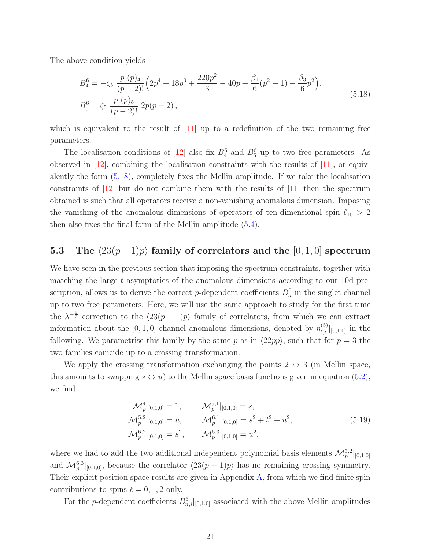The above condition yields

<span id="page-21-1"></span>
$$
B_4^6 = -\zeta_5 \frac{p (p)_4}{(p-2)!} \left( 2p^4 + 18p^3 + \frac{220p^2}{3} - 40p + \frac{\beta_1}{6}(p^2 - 1) - \frac{\beta_3}{6}p^2 \right),
$$
  
\n
$$
B_5^6 = \zeta_5 \frac{p (p)_5}{(p-2)!} 2p(p-2),
$$
\n(5.18)

which is equivalent to the result of  $|11|$  up to a redefinition of the two remaining free parameters.

The localisation conditions of [\[12\]](#page-27-6) also fix  $B_4^6$  and  $B_5^6$  up to two free parameters. As observed in [\[12\]](#page-27-6), combining the localisation constraints with the results of [\[11\]](#page-27-5), or equivalently the form [\(5.18\)](#page-21-1), completely fixes the Mellin amplitude. If we take the localisation constraints of  $\vert 12 \vert$  but do not combine them with the results of  $\vert 11 \vert$  then the spectrum obtained is such that all operators receive a non-vanishing anomalous dimension. Imposing the vanishing of the anomalous dimensions of operators of ten-dimensional spin  $\ell_{10} > 2$ then also fixes the final form of the Mellin amplitude [\(5.4\)](#page-18-3).

## <span id="page-21-0"></span>5.3 The  $\langle 23(p-1)p \rangle$  family of correlators and the [0, 1, 0] spectrum

We have seen in the previous section that imposing the spectrum constraints, together with matching the large  $t$  asymptotics of the anomalous dimensions according to our 10d prescription, allows us to derive the correct p-dependent coefficients  $B_n^6$  in the singlet channel up to two free parameters. Here, we will use the same approach to study for the first time the  $\lambda^{-\frac{5}{2}}$  correction to the  $\langle 23(p-1)p \rangle$  family of correlators, from which we can extract information about the [0, 1, 0] channel anomalous dimensions, denoted by  $\eta_{\ell,i}^{(5)}|_{[0,1,0]}$  in the following. We parametrise this family by the same p as in  $\langle 22pp \rangle$ , such that for  $p = 3$  the two families coincide up to a crossing transformation.

We apply the crossing transformation exchanging the points  $2 \leftrightarrow 3$  (in Mellin space, this amounts to swapping  $s \leftrightarrow u$ ) to the Mellin space basis functions given in equation [\(5.2\)](#page-17-5), we find

<span id="page-21-2"></span>
$$
\mathcal{M}_p^4|_{[0,1,0]} = 1, \qquad \mathcal{M}_p^{5,1}|_{[0,1,0]} = s,
$$
  
\n
$$
\mathcal{M}_p^{5,2}|_{[0,1,0]} = u, \qquad \mathcal{M}_p^{6,1}|_{[0,1,0]} = s^2 + t^2 + u^2,
$$
  
\n
$$
\mathcal{M}_p^{6,2}|_{[0,1,0]} = s^2, \qquad \mathcal{M}_p^{6,3}|_{[0,1,0]} = u^2,
$$
\n(5.19)

where we had to add the two additional independent polynomial basis elements  $\mathcal{M}_{p}^{5,2}|_{[0,1,0]}$ and  $\mathcal{M}_{p}^{6,3}|_{[0,1,0]},$  because the correlator  $\langle 23(p-1)p \rangle$  has no remaining crossing symmetry. Their explicit position space results are given in Appendix [A,](#page-25-0) from which we find finite spin contributions to spins  $\ell = 0, 1, 2$  only.

For the *p*-dependent coefficients  $B_{n,i}^6|_{[0,1,0]}$  associated with the above Mellin amplitudes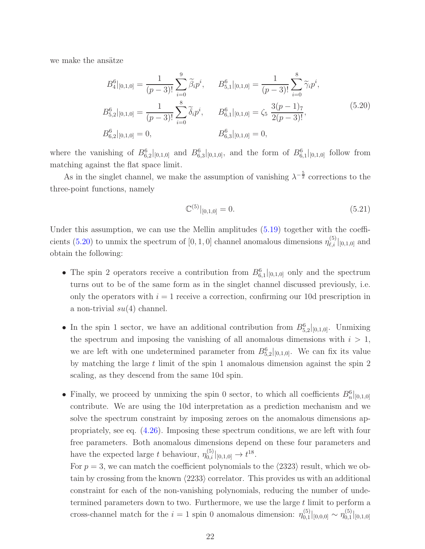we make the ansätze

$$
B_4^6|_{[0,1,0]} = \frac{1}{(p-3)!} \sum_{i=0}^9 \tilde{\beta}_i p^i, \qquad B_{5,1}^6|_{[0,1,0]} = \frac{1}{(p-3)!} \sum_{i=0}^8 \tilde{\gamma}_i p^i,
$$
  
\n
$$
B_{5,2}^6|_{[0,1,0]} = \frac{1}{(p-3)!} \sum_{i=0}^8 \tilde{\delta}_i p^i, \qquad B_{6,1}^6|_{[0,1,0]} = \zeta_5 \frac{3(p-1)\tau}{2(p-3)!},
$$
  
\n
$$
B_{6,2}^6|_{[0,1,0]} = 0, \qquad B_{6,3}^6|_{[0,1,0]} = 0,
$$
  
\n(5.20)

where the vanishing of  $B_{6,2}^6|_{[0,1,0]}$  and  $B_{6,3}^6|_{[0,1,0]}$ , and the form of  $B_{6,1}^6|_{[0,1,0]}$  follow from matching against the flat space limit.

As in the singlet channel, we make the assumption of vanishing  $\lambda^{-\frac{5}{2}}$  corrections to the three-point functions, namely

<span id="page-22-0"></span>
$$
\mathbb{C}^{(5)}|_{[0,1,0]} = 0.\t\t(5.21)
$$

Under this assumption, we can use the Mellin amplitudes  $(5.19)$  together with the coeffi-cients [\(5.20\)](#page-22-0) to unmix the spectrum of  $[0, 1, 0]$  channel anomalous dimensions  $\eta_{\ell, i}^{(5)}|_{[0,1,0]}$  and obtain the following:

- The spin 2 operators receive a contribution from  $B_{6,1}^6|_{[0,1,0]}$  only and the spectrum turns out to be of the same form as in the singlet channel discussed previously, i.e. only the operators with  $i = 1$  receive a correction, confirming our 10d prescription in a non-trivial  $su(4)$  channel.
- In the spin 1 sector, we have an additional contribution from  $B_{5,2}^6|_{[0,1,0]}$ . Unmixing the spectrum and imposing the vanishing of all anomalous dimensions with  $i > 1$ , we are left with one undetermined parameter from  $B_{5,2}^6|_{[0,1,0]}$ . We can fix its value by matching the large t limit of the spin 1 anomalous dimension against the spin 2 scaling, as they descend from the same 10d spin.
- Finally, we proceed by unmixing the spin 0 sector, to which all coefficients  $B_n^6|_{[0,1,0]}$ contribute. We are using the 10d interpretation as a prediction mechanism and we solve the spectrum constraint by imposing zeroes on the anomalous dimensions appropriately, see eq. (4.[26\)](#page-15-4). Imposing these spectrum conditions, we are left with four free parameters. Both anomalous dimensions depend on these four parameters and have the expected large t behaviour,  $\eta_{0,i}^{(5)}|_{[0,1,0]} \to t^{18}$ .

For  $p = 3$ , we can match the coefficient polynomials to the  $\langle 2323 \rangle$  result, which we obtain by crossing from the known  $\langle 2233 \rangle$  correlator. This provides us with an additional constraint for each of the non-vanishing polynomials, reducing the number of undetermined parameters down to two. Furthermore, we use the large  $t$  limit to perform a cross-channel match for the  $i = 1$  spin 0 anomalous dimension:  $\eta_{0,1}^{(5)}$  $\eta_{0,1}^{(5)}|_{[0,0,0]} \sim \eta_{0,1}^{(5)}$  $\hat{0,1}$   $[0,1,0]$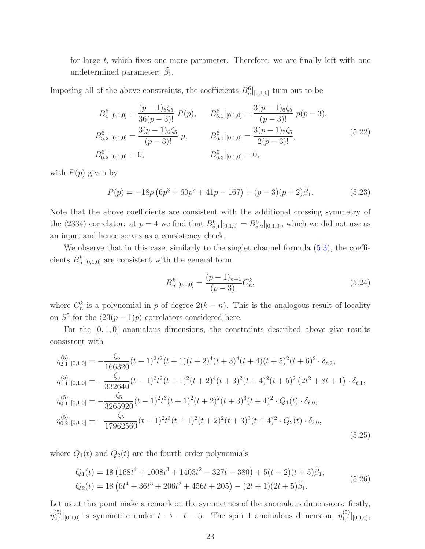for large  $t$ , which fixes one more parameter. Therefore, we are finally left with one undetermined parameter:  $\beta_1$ .

Imposing all of the above constraints, the coefficients  $B_n^6|_{[0,1,0]}$  turn out to be

$$
B_4^6|_{[0,1,0]} = \frac{(p-1)_5\zeta_5}{36(p-3)!} P(p), \qquad B_{5,1}^6|_{[0,1,0]} = \frac{3(p-1)_6\zeta_5}{(p-3)!} p(p-3),
$$
  
\n
$$
B_{5,2}^6|_{[0,1,0]} = \frac{3(p-1)_6\zeta_5}{(p-3)!} p, \qquad B_{6,1}^6|_{[0,1,0]} = \frac{3(p-1)_7\zeta_5}{2(p-3)!},
$$
  
\n
$$
B_{6,2}^6|_{[0,1,0]} = 0, \qquad B_{6,3}^6|_{[0,1,0]} = 0,
$$
  
\n(5.22)

with  $P(p)$  given by

$$
P(p) = -18p(6p3 + 60p2 + 41p - 167) + (p - 3)(p + 2)\tilde{\beta}_1.
$$
 (5.23)

Note that the above coefficients are consistent with the additional crossing symmetry of the  $\langle 2334 \rangle$  correlator: at  $p = 4$  we find that  $B_{5,1}^6|_{[0,1,0]} = B_{5,2}^6|_{[0,1,0]}$ , which we did not use as an input and hence serves as a consistency check.

We observe that in this case, similarly to the singlet channel formula  $(5.3)$ , the coefficients  $B_n^k|_{[0,1,0]}$  are consistent with the general form

<span id="page-23-0"></span>
$$
B_n^k|_{[0,1,0]} = \frac{(p-1)_{n+1}}{(p-3)!} C_n^k,
$$
\n(5.24)

where  $C_n^k$  is a polynomial in p of degree  $2(k - n)$ . This is the analogous result of locality on  $S^5$  for the  $\langle 23(p-1)p \rangle$  correlators considered here.

For the  $[0, 1, 0]$  anomalous dimensions, the constraints described above give results consistent with

$$
\eta_{2,1}^{(5)}|_{[0,1,0]} = -\frac{\zeta_5}{166320}(t-1)^2t^2(t+1)(t+2)^4(t+3)^4(t+4)(t+5)^2(t+6)^2 \cdot \delta_{\ell,2},
$$
\n
$$
\eta_{1,1}^{(5)}|_{[0,1,0]} = -\frac{\zeta_5}{332640}(t-1)^2t^2(t+1)^2(t+2)^4(t+3)^2(t+4)^2(t+5)^2(2t^2+8t+1) \cdot \delta_{\ell,1},
$$
\n
$$
\eta_{0,1}^{(5)}|_{[0,1,0]} = -\frac{\zeta_5}{3265920}(t-1)^2t^3(t+1)^2(t+2)^2(t+3)^3(t+4)^2 \cdot Q_1(t) \cdot \delta_{\ell,0},
$$
\n
$$
\eta_{0,2}^{(5)}|_{[0,1,0]} = -\frac{\zeta_5}{17962560}(t-1)^2t^3(t+1)^2(t+2)^2(t+3)^3(t+4)^2 \cdot Q_2(t) \cdot \delta_{\ell,0},
$$
\n
$$
(5.25)
$$

where  $Q_1(t)$  and  $Q_2(t)$  are the fourth order polynomials

$$
Q_1(t) = 18 \left( 168t^4 + 1008t^3 + 1403t^2 - 327t - 380 \right) + 5(t - 2)(t + 5)\tilde{\beta}_1,
$$
  
\n
$$
Q_2(t) = 18 \left( 6t^4 + 36t^3 + 206t^2 + 456t + 205 \right) - (2t + 1)(2t + 5)\tilde{\beta}_1.
$$
\n(5.26)

Let us at this point make a remark on the symmetries of the anomalous dimensions: firstly,  $\eta_{2.1}^{(5)}$  $2,1\vert_{[0,1,0]}$  is symmetric under  $t \to -t-5$ . The spin 1 anomalous dimension,  $\eta_{1,1}^{(5)}$  $\left| \begin{smallmatrix} (0) \\ 1,1 \end{smallmatrix} \right| [0,1,0],$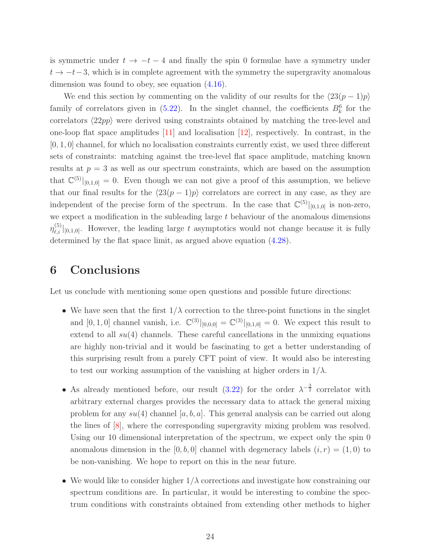is symmetric under  $t \to -t - 4$  and finally the spin 0 formulae have a symmetry under  $t \to -t-3$ , which is in complete agreement with the symmetry the supergravity anomalous dimension was found to obey, see equation [\(4.16\)](#page-13-4).

We end this section by commenting on the validity of our results for the  $\langle 23(p - 1)p \rangle$ family of correlators given in  $(5.22)$ . In the singlet channel, the coefficients  $B_k^6$  for the correlators  $\langle 22pp \rangle$  were derived using constraints obtained by matching the tree-level and one-loop flat space amplitudes [\[11\]](#page-27-5) and localisation [\[12\]](#page-27-6), respectively. In contrast, in the [0, 1, 0] channel, for which no localisation constraints currently exist, we used three different sets of constraints: matching against the tree-level flat space amplitude, matching known results at  $p = 3$  as well as our spectrum constraints, which are based on the assumption that  $\mathbb{C}^{(5)}|_{[0,1,0]} = 0$ . Even though we can not give a proof of this assumption, we believe that our final results for the  $\langle 23(p - 1)p \rangle$  correlators are correct in any case, as they are independent of the precise form of the spectrum. In the case that  $\mathbb{C}^{(5)}|_{[0,1,0]}$  is non-zero, we expect a modification in the subleading large  $t$  behaviour of the anomalous dimensions  $\eta_{\ell,i}^{(5)}|_{[0,1,0]}$ . However, the leading large t asymptotics would not change because it is fully determined by the flat space limit, as argued above equation [\(4.28\)](#page-16-2).

## <span id="page-24-0"></span>6 Conclusions

Let us conclude with mentioning some open questions and possible future directions:

- We have seen that the first  $1/\lambda$  correction to the three-point functions in the singlet and  $[0, 1, 0]$  channel vanish, i.e.  $\mathbb{C}^{(3)}|_{[0,0,0]} = \mathbb{C}^{(3)}|_{[0,1,0]} = 0$ . We expect this result to extend to all  $su(4)$  channels. These careful cancellations in the unmixing equations are highly non-trivial and it would be fascinating to get a better understanding of this surprising result from a purely CFT point of view. It would also be interesting to test our working assumption of the vanishing at higher orders in  $1/\lambda$ .
- As already mentioned before, our result [\(3.22\)](#page-10-1) for the order  $\lambda^{-\frac{3}{2}}$  correlator with arbitrary external charges provides the necessary data to attack the general mixing problem for any  $su(4)$  channel [a, b, a]. This general analysis can be carried out along the lines of [\[8\]](#page-27-2), where the corresponding supergravity mixing problem was resolved. Using our 10 dimensional interpretation of the spectrum, we expect only the spin 0 anomalous dimension in the [0, b, 0] channel with degeneracy labels  $(i, r) = (1, 0)$  to be non-vanishing. We hope to report on this in the near future.
- We would like to consider higher  $1/\lambda$  corrections and investigate how constraining our spectrum conditions are. In particular, it would be interesting to combine the spectrum conditions with constraints obtained from extending other methods to higher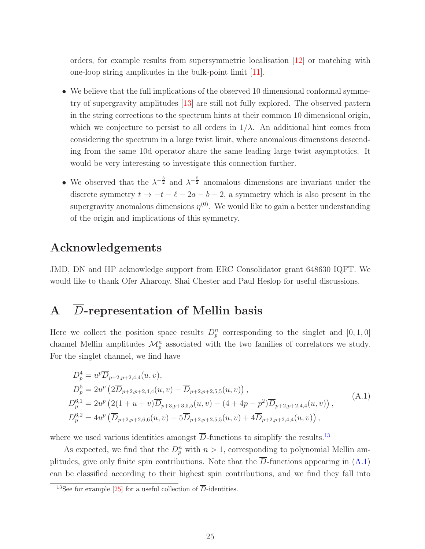orders, for example results from supersymmetric localisation [\[12\]](#page-27-6) or matching with one-loop string amplitudes in the bulk-point limit [\[11\]](#page-27-5).

- We believe that the full implications of the observed 10 dimensional conformal symmetry of supergravity amplitudes [\[13\]](#page-27-7) are still not fully explored. The observed pattern in the string corrections to the spectrum hints at their common 10 dimensional origin, which we conjecture to persist to all orders in  $1/\lambda$ . An additional hint comes from considering the spectrum in a large twist limit, where anomalous dimensions descending from the same 10d operator share the same leading large twist asymptotics. It would be very interesting to investigate this connection further.
- We observed that the  $\lambda^{-\frac{3}{2}}$  and  $\lambda^{-\frac{5}{2}}$  anomalous dimensions are invariant under the discrete symmetry  $t \to -t - \ell - 2a - b - 2$ , a symmetry which is also present in the supergravity anomalous dimensions  $\eta^{(0)}$ . We would like to gain a better understanding of the origin and implications of this symmetry.

# Acknowledgements

JMD, DN and HP acknowledge support from ERC Consolidator grant 648630 IQFT. We would like to thank Ofer Aharony, Shai Chester and Paul Heslop for useful discussions.

# <span id="page-25-0"></span>A  $\overline{D}$ -representation of Mellin basis

Here we collect the position space results  $D_p^n$  corresponding to the singlet and  $[0,1,0]$ channel Mellin amplitudes  $\mathcal{M}_p^n$  associated with the two families of correlators we study. For the singlet channel, we find have

<span id="page-25-1"></span>
$$
D_p^4 = u^p \overline{D}_{p+2,p+2,4,4}(u, v),
$$
  
\n
$$
D_p^5 = 2u^p \left(2\overline{D}_{p+2,p+2,4,4}(u, v) - \overline{D}_{p+2,p+2,5,5}(u, v)\right),
$$
  
\n
$$
D_p^{6,1} = 2u^p \left(2(1+u+v)\overline{D}_{p+3,p+3,5,5}(u, v) - (4+4p-p^2)\overline{D}_{p+2,p+2,4,4}(u, v)\right),
$$
  
\n
$$
D_p^{6,2} = 4u^p \left(\overline{D}_{p+2,p+2,6,6}(u, v) - 5\overline{D}_{p+2,p+2,5,5}(u, v) + 4\overline{D}_{p+2,p+2,4,4}(u, v)\right),
$$
\n(A.1)

where we used various identities amongst  $\overline{D}$ -functions to simplify the results.<sup>[13](#page-25-2)</sup>

As expected, we find that the  $D_p^n$  with  $n > 1$ , corresponding to polynomial Mellin amplitudes, give only finite spin contributions. Note that the  $\overline{D}$ -functions appearing in [\(A.1\)](#page-25-1) can be classified according to their highest spin contributions, and we find they fall into

<span id="page-25-2"></span><sup>&</sup>lt;sup>13</sup>See for example [\[25\]](#page-28-2) for a useful collection of  $\overline{D}$ -identities.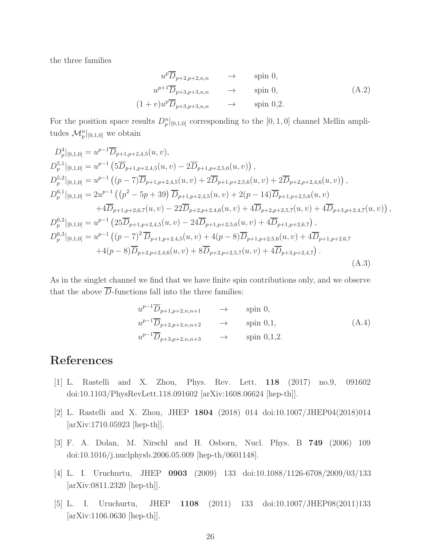the three families

$$
u^p \overline{D}_{p+2,p+2,n,n} \longrightarrow \text{spin } 0,
$$
  
\n
$$
u^{p+1} \overline{D}_{p+3,p+3,n,n} \longrightarrow \text{spin } 0,
$$
  
\n
$$
(1+v)u^p \overline{D}_{p+3,p+3,n,n} \longrightarrow \text{spin } 0,2.
$$
  
\n(A.2)

For the position space results  $D_p^n|_{[0,1,0]}$  corresponding to the  $[0,1,0]$  channel Mellin amplitudes  $\mathcal{M}_p^n|_{[0,1,0]}$  we obtain

$$
D_{p}^{4}|_{[0,1,0]} = u^{p-1}\overline{D}_{p+1,p+2,4,5}(u,v),
$$
  
\n
$$
D_{p}^{5,1}|_{[0,1,0]} = u^{p-1} (5\overline{D}_{p+1,p+2,4,5}(u,v) - 2\overline{D}_{p+1,p+2,5,6}(u,v)) ,
$$
  
\n
$$
D_{p}^{5,2}|_{[0,1,0]} = u^{p-1} ((p-7)\overline{D}_{p+1,p+2,4,5}(u,v) + 2\overline{D}_{p+1,p+2,5,6}(u,v) + 2\overline{D}_{p+2,p+2,4,6}(u,v)) ,
$$
  
\n
$$
D_{p}^{6,1}|_{[0,1,0]} = 2u^{p-1} ((p^{2} - 5p + 39) \overline{D}_{p+1,p+2,4,5}(u,v) + 2(p - 14)\overline{D}_{p+1,p+2,5,6}(u,v) + 4\overline{D}_{p+1,p+2,6,7}(u,v) + 4\overline{D}_{p+1,p+2,6,7}(u,v) - 22\overline{D}_{p+2,p+2,4,6}(u,v) + 4\overline{D}_{p+2,p+2,5,7}(u,v) + 4\overline{D}_{p+3,p+2,4,7}(u,v))
$$
  
\n
$$
D_{p}^{6,2}|_{[0,1,0]} = u^{p-1} (25\overline{D}_{p+1,p+2,4,5}(u,v) - 24\overline{D}_{p+1,p+2,5,6}(u,v) + 4\overline{D}_{p+1,p+2,6,7}),
$$
  
\n
$$
D_{p}^{6,3}|_{[0,1,0]} = u^{p-1} ((p-7)^{2} \overline{D}_{p+1,p+2,4,5}(u,v) + 4(p - 8)\overline{D}_{p+1,p+2,5,6}(u,v) + 4\overline{D}_{p+3,p+2,4,7}).
$$
  
\n
$$
+4(p-8)\overline{D}_{p+2,p+2,4,6}(u,v) + 8\overline{D}_{p+2,p+2,5,7}(u,v) + 4\overline{D}_{p+3,p+2,4,7}).
$$
  
\n(A.3)

As in the singlet channel we find that we have finite spin contributions only, and we observe that the above  $\overline{D}$ -functions fall into the three families:

$$
u^{p-1}\overline{D}_{p+1,p+2,n,n+1} \rightarrow \text{spin } 0,
$$
  
\n
$$
u^{p-1}\overline{D}_{p+2,p+2,n,n+2} \rightarrow \text{spin } 0,1,
$$
  
\n
$$
u^{p-1}\overline{D}_{p+3,p+2,n,n+3} \rightarrow \text{spin } 0,1,2.
$$
\n(A.4)

,

## <span id="page-26-0"></span>References

- <span id="page-26-1"></span>[1] L. Rastelli and X. Zhou, Phys. Rev. Lett. 118 (2017) no.9, 091602 doi:10.1103/PhysRevLett.118.091602 [arXiv:1608.06624 [hep-th]].
- <span id="page-26-2"></span>[2] L. Rastelli and X. Zhou, JHEP 1804 (2018) 014 doi:10.1007/JHEP04(2018)014 [arXiv:1710.05923 [hep-th]].
- <span id="page-26-3"></span>[3] F. A. Dolan, M. Nirschl and H. Osborn, Nucl. Phys. B 749 (2006) 109 doi:10.1016/j.nuclphysb.2006.05.009 [hep-th/0601148].
- <span id="page-26-4"></span>[4] L. I. Uruchurtu, JHEP 0903 (2009) 133 doi:10.1088/1126-6708/2009/03/133 [arXiv:0811.2320 [hep-th]].
- [5] L. I. Uruchurtu, JHEP 1108 (2011) 133 doi:10.1007/JHEP08(2011)133 [arXiv:1106.0630 [hep-th]].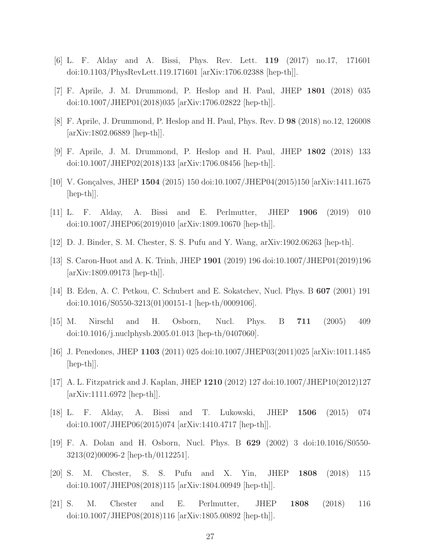- <span id="page-27-1"></span><span id="page-27-0"></span>[6] L. F. Alday and A. Bissi, Phys. Rev. Lett. 119 (2017) no.17, 171601 doi:10.1103/PhysRevLett.119.171601 [arXiv:1706.02388 [hep-th]].
- <span id="page-27-2"></span>[7] F. Aprile, J. M. Drummond, P. Heslop and H. Paul, JHEP 1801 (2018) 035 doi:10.1007/JHEP01(2018)035 [arXiv:1706.02822 [hep-th]].
- <span id="page-27-3"></span>[8] F. Aprile, J. Drummond, P. Heslop and H. Paul, Phys. Rev. D 98 (2018) no.12, 126008 [arXiv:1802.06889 [hep-th]].
- <span id="page-27-4"></span>[9] F. Aprile, J. M. Drummond, P. Heslop and H. Paul, JHEP 1802 (2018) 133 doi:10.1007/JHEP02(2018)133 [arXiv:1706.08456 [hep-th]].
- <span id="page-27-5"></span>[10] V. Gonçalves, JHEP 1504 (2015) 150 doi:10.1007/JHEP04(2015)150 [arXiv:1411.1675 [hep-th]].
- <span id="page-27-6"></span>[11] L. F. Alday, A. Bissi and E. Perlmutter, JHEP 1906 (2019) 010 doi:10.1007/JHEP06(2019)010 [arXiv:1809.10670 [hep-th]].
- <span id="page-27-7"></span>[12] D. J. Binder, S. M. Chester, S. S. Pufu and Y. Wang, arXiv:1902.06263 [hep-th].
- <span id="page-27-8"></span>[13] S. Caron-Huot and A. K. Trinh, JHEP 1901 (2019) 196 doi:10.1007/JHEP01(2019)196 [arXiv:1809.09173 [hep-th]].
- <span id="page-27-9"></span>[14] B. Eden, A. C. Petkou, C. Schubert and E. Sokatchev, Nucl. Phys. B 607 (2001) 191 doi:10.1016/S0550-3213(01)00151-1 [hep-th/0009106].
- <span id="page-27-10"></span>[15] M. Nirschl and H. Osborn, Nucl. Phys. B 711 (2005) 409 doi:10.1016/j.nuclphysb.2005.01.013 [hep-th/0407060].
- <span id="page-27-11"></span>[16] J. Penedones, JHEP 1103 (2011) 025 doi:10.1007/JHEP03(2011)025 [arXiv:1011.1485 [hep-th]].
- <span id="page-27-12"></span>[17] A. L. Fitzpatrick and J. Kaplan, JHEP 1210 (2012) 127 doi:10.1007/JHEP10(2012)127 [arXiv:1111.6972 [hep-th]].
- <span id="page-27-13"></span>[18] L. F. Alday, A. Bissi and T. Lukowski, JHEP 1506 (2015) 074 doi:10.1007/JHEP06(2015)074 [arXiv:1410.4717 [hep-th]].
- <span id="page-27-14"></span>[19] F. A. Dolan and H. Osborn, Nucl. Phys. B 629 (2002) 3 doi:10.1016/S0550- 3213(02)00096-2 [hep-th/0112251].
- <span id="page-27-15"></span>[20] S. M. Chester, S. S. Pufu and X. Yin, JHEP 1808 (2018) 115 doi:10.1007/JHEP08(2018)115 [arXiv:1804.00949 [hep-th]].
- [21] S. M. Chester and E. Perlmutter, JHEP 1808 (2018) 116 doi:10.1007/JHEP08(2018)116 [arXiv:1805.00892 [hep-th]].